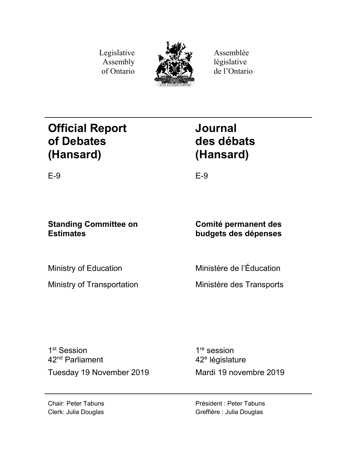Legislative Assembly of Ontario



Assemblée législative de l'Ontario

# **Official Report of Debates (Hansard)**

**Journal des débats (Hansard)**

E-9 E-9

## **Standing Committee on Estimates**

**Comité permanent des budgets des dépenses**

Ministry of Education

Ministry of Transportation

Ministère de l'Éducation

Ministère des Transports

1<sup>st</sup> Session 42nd Parliament Tuesday 19 November 2019 Mardi 19 novembre 2019

1<sup>re</sup> session 42<sup>e</sup> législature

Chair: Peter Tabuns Clerk: Julia Douglas Président : Peter Tabuns Greffière : Julia Douglas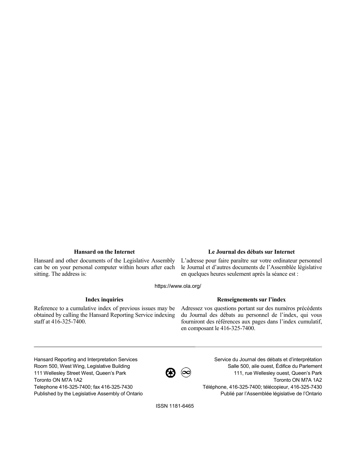Hansard and other documents of the Legislative Assembly can be on your personal computer within hours after each sitting. The address is:

### **Hansard on the Internet Le Journal des débats sur Internet**

L'adresse pour faire paraître sur votre ordinateur personnel le Journal et d'autres documents de l'Assemblée législative en quelques heures seulement après la séance est :

https://www.ola.org/

Reference to a cumulative index of previous issues may be obtained by calling the Hansard Reporting Service indexing staff at 416-325-7400.

### **Index inquiries Renseignements sur l'index**

Adressez vos questions portant sur des numéros précédents du Journal des débats au personnel de l'index, qui vous fourniront des références aux pages dans l'index cumulatif, en composant le 416-325-7400.

Hansard Reporting and Interpretation Services Room 500, West Wing, Legislative Building 111 Wellesley Street West, Queen's Park Toronto ON M7A 1A2 Telephone 416-325-7400; fax 416-325-7430 Published by the Legislative Assembly of Ontario



Service du Journal des débats et d'interprétation Salle 500, aile ouest, Édifice du Parlement 111, rue Wellesley ouest, Queen's Park Toronto ON M7A 1A2 Téléphone, 416-325-7400; télécopieur, 416-325-7430 Publié par l'Assemblée législative de l'Ontario

ISSN 1181-6465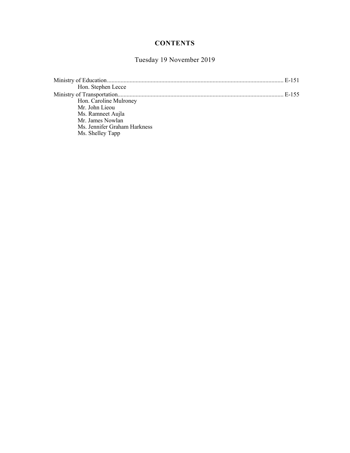## **CONTENTS**

## Tuesday 19 November 2019

|                              | E-151 |
|------------------------------|-------|
| Hon. Stephen Lecce           |       |
|                              | E-155 |
| Hon. Caroline Mulroney       |       |
| Mr. John Lieou               |       |
| Ms. Ramneet Aujla            |       |
| Mr. James Nowlan             |       |
| Ms. Jennifer Graham Harkness |       |
| Ms. Shelley Tapp             |       |
|                              |       |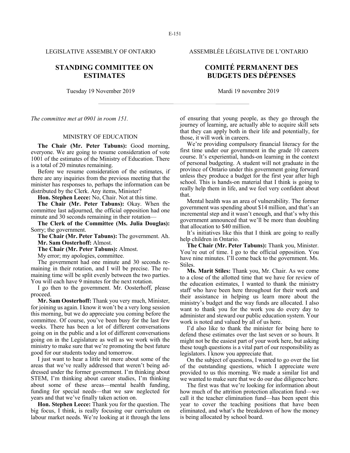## **STANDING COMMITTEE ON ESTIMATES**

Tuesday 19 November 2019 Mardi 19 novembre 2019

*The committee met at 0901 in room 151.*

#### MINISTRY OF EDUCATION

**The Chair (Mr. Peter Tabuns):** Good morning, everyone. We are going to resume consideration of vote 1001 of the estimates of the Ministry of Education. There is a total of 20 minutes remaining.

Before we resume consideration of the estimates, if there are any inquiries from the previous meeting that the minister has responses to, perhaps the information can be distributed by the Clerk. Any items, Minister?

**Hon. Stephen Lecce:** No, Chair. Not at this time.

**The Chair (Mr. Peter Tabuns):** Okay. When the committee last adjourned, the official opposition had one minute and 30 seconds remaining in their rotation—

**The Clerk of the Committee (Ms. Julia Douglas):** Sorry; the government.

**The Chair (Mr. Peter Tabuns):** The government. Ah. **Mr. Sam Oosterhoff:** Almost.

**The Chair (Mr. Peter Tabuns):** Almost.

My error; my apologies, committee.

The government had one minute and 30 seconds remaining in their rotation, and I will be precise. The remaining time will be split evenly between the two parties. You will each have 9 minutes for the next rotation.

I go then to the government. Mr. Oosterhoff, please proceed.

**Mr. Sam Oosterhoff:** Thank you very much, Minister, for joining us again. I know it won't be a very long session this morning, but we do appreciate you coming before the committee. Of course, you've been busy for the last few weeks. There has been a lot of different conversations going on in the public and a lot of different conversations going on in the Legislature as well as we work with the ministry to make sure that we're promoting the best future good for our students today and tomorrow.

I just want to hear a little bit more about some of the areas that we've really addressed that weren't being addressed under the former government. I'm thinking about STEM, I'm thinking about career studies, I'm thinking about some of these areas—mental health funding, funding for special needs—that we saw neglected for years and that we've finally taken action on.

**Hon. Stephen Lecce:** Thank you for the question. The big focus, I think, is really focusing our curriculum on labour market needs. We're looking at it through the lens

LEGISLATIVE ASSEMBLY OF ONTARIO ASSEMBLÉE LÉGISLATIVE DE L'ONTARIO

## **COMITÉ PERMANENT DES BUDGETS DES DÉPENSES**

of ensuring that young people, as they go through the journey of learning, are actually able to acquire skill sets that they can apply both in their life and potentially, for those, it will work in careers.

We're providing compulsory financial literacy for the first time under our government in the grade 10 careers course. It's experiential, hands-on learning in the context of personal budgeting. A student will not graduate in the province of Ontario under this government going forward unless they produce a budget for the first year after high school. This is hands-on material that I think is going to really help them in life, and we feel very confident about that.

Mental health was an area of vulnerability. The former government was spending about \$14 million, and that's an incremental step and it wasn't enough, and that's why this government announced that we'll be more than doubling that allocation to \$40 million.

It's initiatives like this that I think are going to really help children in Ontario.

**The Chair (Mr. Peter Tabuns):** Thank you, Minister. You're out of time. I go to the official opposition. You have nine minutes. I'll come back to the government. Ms. Stiles.

**Ms. Marit Stiles:** Thank you, Mr. Chair. As we come to a close of the allotted time that we have for review of the education estimates, I wanted to thank the ministry staff who have been here throughout for their work and their assistance in helping us learn more about the ministry's budget and the way funds are allocated. I also want to thank you for the work you do every day to administer and steward our public education system. Your work is noted and valued by all of us here.

I'd also like to thank the minister for being here to defend these estimates over the last seven or so hours. It might not be the easiest part of your work here, but asking these tough questions is a vital part of our responsibility as legislators. I know you appreciate that.

On the subject of questions, I wanted to go over the list of the outstanding questions, which I appreciate were provided to us this morning. We made a similar list and we wanted to make sure that we do our due diligence here.

The first was that we're looking for information about how much of the attrition protection allocation fund—we call it the teacher elimination fund—has been spent this year to cover the teaching positions that have been eliminated, and what's the breakdown of how the money is being allocated by school board.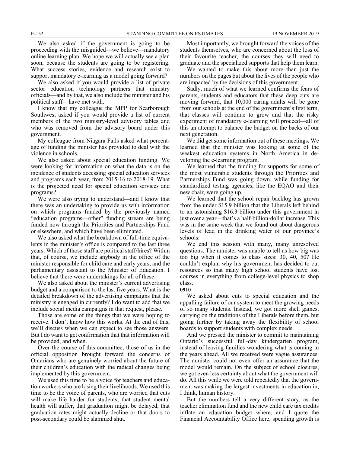We also asked if the government is going to be proceeding with the misguided—we believe—mandatory online learning plan. We hope we will actually see a plan soon, because the students are going to be registering. What success stories, evidence and research exist to support mandatory e-learning as a model going forward?

We also asked if you would provide a list of private sector education technology partners that ministry officials—and by that, we also include the minister and his political staff—have met with.

I know that my colleague the MPP for Scarborough Southwest asked if you would provide a list of current members of the two ministry-level advisory tables and who was removed from the advisory board under this government.

My colleague from Niagara Falls asked what percentage of funding the minister has provided to deal with the violence in schools.

We also asked about special education funding. We were looking for information on what the data is on the incidence of students accessing special education services and programs each year, from 2015-16 to 2018-19. What is the projected need for special education services and programs?

We were also trying to understand—and I know that there was an undertaking to provide us with information on which programs funded by the previously named "education programs—other" funding stream are being funded now through the Priorities and Partnerships Fund or elsewhere, and which have been eliminated.

We also asked what the breakdown of full-time equivalents in the minister's office is compared to the last three years. Which of those staff are political staff/hires? Within that, of course, we include anybody in the office of the minister responsible for child care and early years, and the parliamentary assistant to the Minister of Education. I believe that there were undertakings for all of these.

We also asked about the minister's current advertising budget and a comparison to the last five years. What is the detailed breakdown of the advertising campaigns that the ministry is engaged in currently? I do want to add that we include social media campaigns in that request, please.

Those are some of the things that we were hoping to receive. I don't know how this works. At the end of this, we'll discuss when we can expect to see those answers. But I do want to get confirmation that that information will be provided, and when.

Over the course of this committee, those of us in the official opposition brought forward the concerns of Ontarians who are genuinely worried about the future of their children's education with the radical changes being implemented by this government.

We used this time to be a voice for teachers and education workers who are losing their livelihoods. We used this time to be the voice of parents, who are worried that cuts will make life harder for students, that student mental health will suffer, that graduation might be delayed, that graduation rates might actually decline or that doors to post-secondary could be slammed shut.

Most importantly, we brought forward the voices of the students themselves, who are concerned about the loss of their favourite teacher, the courses they will need to graduate and the specialized supports that help them learn.

We wanted to make this about more than just the numbers on the pages but about the lives of the people who are impacted by the decisions of this government.

Sadly, much of what we learned confirms the fears of parents, students and educators that these deep cuts are moving forward, that 10,000 caring adults will be gone from our schools at the end of the government's first term, that classes will continue to grow and that the risky experiment of mandatory e-learning will proceed—all of this an attempt to balance the budget on the backs of our next generation.

We did get some information out of these meetings. We learned that the minister was looking at some of the weakest education systems in North America in developing the e-learning program.

We learned that the funding for supports for some of the most vulnerable students through the Priorities and Partnerships Fund was going down, while funding for standardized testing agencies, like the EQAO and their new chair, were going up.

We learned that the school repair backlog has grown from the under \$15.9 billion that the Liberals left behind to an astonishing \$16.3 billion under this government in just over a year—that's a half-billion-dollar increase. This was in the same week that we found out about dangerous levels of lead in the drinking water of our province's schools.

We end this session with many, many unresolved questions. The minister was unable to tell us how big was too big when it comes to class sizes: 30, 40, 50? He couldn't explain why his government has decided to cut resources so that many high school students have lost courses in everything from college-level physics to shop class.

#### **0910**

We asked about cuts to special education and the appalling failure of our system to meet the growing needs of so many students. Instead, we got more shell games, carrying on the traditions of the Liberals before them, but going further by taking away the flexibility of school boards to support students with complex needs.

And we pressed the minister to commit to maintaining Ontario's successful full-day kindergarten program, instead of leaving families wondering what is coming in the years ahead. All we received were vague assurances. The minister could not even offer an assurance that the model would remain. On the subject of school closures, we got even less certainty about what the government will do. All this while we were told repeatedly that the government was making the largest investments in education in, I think, human history.

But the numbers tell a very different story, as the teacher elimination fund and the new child care tax credits inflate an education budget where, and I quote the Financial Accountability Office here, spending growth is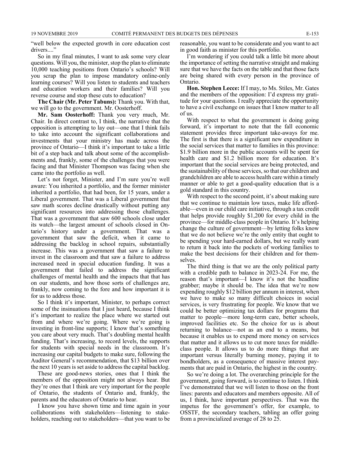"well below the expected growth in core education cost drivers...."

So in my final minutes, I want to ask some very clear questions. Will you, the minister, stop the plan to eliminate 10,000 teaching positions from Ontario's schools? Will you scrap the plan to impose mandatory online-only learning courses? Will you listen to students and teachers and education workers and their families? Will you reverse course and stop these cuts to education?

**The Chair (Mr. Peter Tabuns):** Thank you. With that, we will go to the government. Mr. Oosterhoff.

**Mr. Sam Oosterhoff:** Thank you very much, Mr. Chair. In direct contrast to, I think, the narrative that the opposition is attempting to lay out—one that I think fails to take into account the significant collaborations and investments that your ministry has made across the province of Ontario—I think it's important to take a little bit of a step back and talk about some of the accomplishments and, frankly, some of the challenges that you were facing and that Minister Thompson was facing when she came into the portfolio as well.

Let's not forget, Minister, and I'm sure you're well aware: You inherited a portfolio, and the former minister inherited a portfolio, that had been, for 15 years, under a Liberal government. That was a Liberal government that saw math scores decline drastically without putting any significant resources into addressing those challenges. That was a government that saw 600 schools close under its watch—the largest amount of schools closed in Ontario's history under a government. That was a government that saw the deficit, when it came to addressing the backlog in school repairs, substantially increase. This was a government that saw a failure to invest in the classroom and that saw a failure to address increased need in special education funding. It was a government that failed to address the significant challenges of mental health and the impacts that that has on our students, and how those sorts of challenges are, frankly, now coming to the fore and how important it is for us to address those.

So I think it's important, Minister, to perhaps correct some of the insinuations that I just heard, because I think it's important to realize the place where we started out from and where we're going. Where we're going is investing in front-line supports; I know that's something you care about very much. That's doubling mental health funding. That's increasing, to record levels, the supports for students with special needs in the classroom. It's increasing our capital budgets to make sure, following the Auditor General's recommendation, that \$13 billion over the next 10 years is set aside to address the capital backlog.

These are good-news stories, ones that I think the members of the opposition might not always hear. But they're ones that I think are very important for the people of Ontario, the students of Ontario and, frankly, the parents and the educators of Ontario to hear.

I know you have shown time and time again in your collaborations with stakeholders—listening to stakeholders, reaching out to stakeholders—that you want to be reasonable, you want to be considerate and you want to act in good faith as minister for this portfolio.

I'm wondering if you could talk a little bit more about the importance of setting the narrative straight and making sure that we have the facts on the table and that those facts are being shared with every person in the province of Ontario.

**Hon. Stephen Lecce:** If I may, to Ms. Stiles, Mr. Gates and the members of the opposition: I'd express my gratitude for your questions. I really appreciate the opportunity to have a civil exchange on issues that I know matter to all of us.

With respect to what the government is doing going forward, it's important to note that the fall economic statement provides three important take-aways for me. The first is that there is a significant new expenditure in the social services that matter to families in this province: \$1.9 billion more in the public accounts will be spent for health care and \$1.2 billion more for education. It's important that the social services are being protected, and the sustainability of those services, so that our children and grandchildren are able to access health care within a timely manner or able to get a good-quality education that is a gold standard in this country.

With respect to the second point, it's about making sure that we continue to maintain low taxes, make life affordable—even in our child care initiative, through a tax credit that helps provide roughly \$1,200 for every child in the province—for middle-class people in Ontario. It's helping change the culture of government—by letting folks know that we do not believe we're the only entity that ought to be spending your hard-earned dollars, but we really want to return it back into the pockets of working families to make the best decisions for their children and for themselves.

The third thing is that we are the only political party with a credible path to balance in 2023-24. For me, the reason that's important—I know it's not the headline grabber; maybe it should be. The idea that we're now expending roughly \$12 billion per annum in interest, when we have to make so many difficult choices in social services, is very frustrating for people. We know that we could be better optimizing tax dollars for programs that matter to people—more long-term care, better schools, improved facilities etc. So the choice for us is about returning to balance—not as an end to a means, but because it enables us to expend more money on services that matter and it allows us to cut more taxes for middleclass people. It allows us to do more things that are important versus literally burning money, paying it to bondholders, as a consequence of massive interest payments that are paid in Ontario, the highest in the country.

So we're doing a lot. The overarching principle for the government, going forward, is to continue to listen. I think I've demonstrated that we will listen to those on the front lines: parents and educators and members opposite. All of us, I think, have important perspectives. That was the impetus for the government's offer, for example, to OSSTF, the secondary teachers, tabling an offer going from a provincialized average of 28 to 25.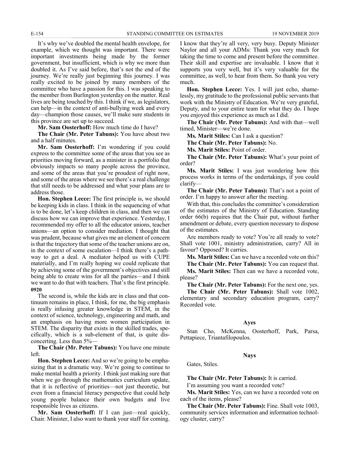It's why we've doubled the mental health envelope, for example, which we thought was important. There were important investments being made by the former government, but insufficient, which is why we more than doubled it. As I've said before, that's not the end of the journey. We're really just beginning this journey. I was really excited to be joined by many members of the committee who have a passion for this. I was speaking to the member from Burlington yesterday on the matter. Real lives are being touched by this. I think if we, as legislators, can help—in the context of anti-bullying week and every day—champion those causes, we'll make sure students in this province are set up to succeed.

**Mr. Sam Oosterhoff:** How much time do I have?

**The Chair (Mr. Peter Tabuns):** You have about two and a half minutes.

**Mr. Sam Oosterhoff:** I'm wondering if you could express to the committee some of the areas that you see as priorities moving forward, as a minister in a portfolio that obviously impacts so many people across the province, and some of the areas that you're proudest of right now, and some of the areas where we see there's a real challenge that still needs to be addressed and what your plans are to address those.

**Hon. Stephen Lecce:** The first principle is, we should be keeping kids in class. I think in the sequencing of what is to be done, let's keep children in class, and then we can discuss how we can improve that experience. Yesterday, I recommended my offer to all the educator unions, teacher unions—an option to consider mediation. I thought that was prudent, because what gives me an element of concern is that the trajectory that some of the teacher unions are on, in the context of some escalation—I think there's a pathway to get a deal. A mediator helped us with CUPE materially, and I'm really hoping we could replicate that by achieving some of the government's objectives and still being able to create wins for all the parties—and I think we want to do that with teachers. That's the first principle. **0920**

The second is, while the kids are in class and that continuum remains in place, I think, for me, the big emphasis is really infusing greater knowledge in STEM, in the context of science, technology, engineering and math, and an emphasis on having more women participation in STEM. The disparity that exists in the skilled trades, specifically, which is a sub-element of that, is quite disconcerting. Less than 5%—

**The Chair (Mr. Peter Tabuns):** You have one minute left.

**Hon. Stephen Lecce:** And so we're going to be emphasizing that in a dramatic way. We're going to continue to make mental health a priority. I think just making sure that when we go through the mathematics curriculum update, that it is reflective of priorities—not just theoretic, but even from a financial literacy perspective that could help young people balance their own budgets and live responsible lives as citizens.

**Mr. Sam Oosterhoff:** If I can just—real quickly, Chair. Minister, I also want to thank your staff for coming. I know that they're all very, very busy. Deputy Minister Naylor and all your ADMs: Thank you very much for taking the time to come and present before the committee. Their skill and expertise are invaluable. I know that it supports you very well, but it's very valuable for the committee, as well, to hear from them. So thank you very much.

**Hon. Stephen Lecce:** Yes. I will just echo, shamelessly, my gratitude to the professional public servants that work with the Ministry of Education. We're very grateful, Deputy, and to your entire team for what they do. I hope you enjoyed this experience as much as I did.

**The Chair (Mr. Peter Tabuns):** And with that—well timed, Minister—we're done.

**Ms. Marit Stiles:** Can I ask a question?

**The Chair (Mr. Peter Tabuns):** No.

**Ms. Marit Stiles:** Point of order.

**The Chair (Mr. Peter Tabuns):** What's your point of order?

**Ms. Marit Stiles:** I was just wondering how this process works in terms of the undertakings, if you could clarify—

**The Chair (Mr. Peter Tabuns):** That's not a point of order. I'm happy to answer after the meeting.

With that, this concludes the committee's consideration of the estimates of the Ministry of Education. Standing order 66(b) requires that the Chair put, without further amendment or debate, every question necessary to dispose of the estimates.

Are members ready to vote? You're all ready to vote? Shall vote 1001, ministry administration, carry? All in favour? Opposed? It carries.

**Ms. Marit Stiles:** Can we have a recorded vote on this?

**The Chair (Mr. Peter Tabuns):** You can request that. **Ms. Marit Stiles:** Then can we have a recorded vote, please?

**The Chair (Mr. Peter Tabuns):** For the next one, yes.

**The Chair (Mr. Peter Tabuns):** Shall vote 1002, elementary and secondary education program, carry? Recorded vote.

#### **Ayes**

Stan Cho, McKenna, Oosterhoff, Park, Parsa, Pettapiece, Triantafilopoulos.

#### **Nays**

Gates, Stiles.

**The Chair (Mr. Peter Tabuns):** It is carried.

I'm assuming you want a recorded vote?

**Ms. Marit Stiles:** Yes, can we have a recorded vote on each of the items, please?

**The Chair (Mr. Peter Tabuns):** Fine. Shall vote 1003, community services information and information technology cluster, carry?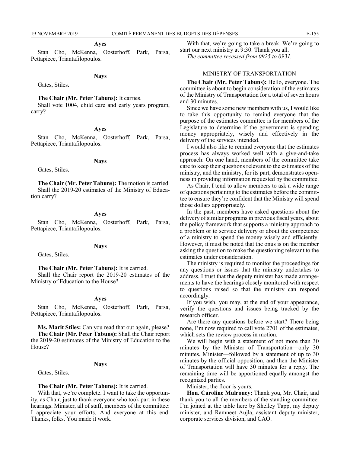#### **Ayes**

Stan Cho, McKenna, Oosterhoff, Park, Parsa, Pettapiece, Triantafilopoulos.

#### **Nays**

Gates, Stiles.

#### **The Chair (Mr. Peter Tabuns):** It carries.

Shall vote 1004, child care and early years program, carry?

#### **Ayes**

Stan Cho, McKenna, Oosterhoff, Park, Parsa, Pettapiece, Triantafilopoulos.

#### **Nays**

Gates, Stiles.

**The Chair (Mr. Peter Tabuns):** The motion is carried. Shall the 2019-20 estimates of the Ministry of Education carry?

#### **Ayes**

Stan Cho, McKenna, Oosterhoff, Park, Parsa, Pettapiece, Triantafilopoulos.

#### **Nays**

Gates, Stiles.

#### **The Chair (Mr. Peter Tabuns):** It is carried.

Shall the Chair report the 2019-20 estimates of the Ministry of Education to the House?

#### **Ayes**

Stan Cho, McKenna, Oosterhoff, Park, Parsa, Pettapiece, Triantafilopoulos.

**Ms. Marit Stiles:** Can you read that out again, please? **The Chair (Mr. Peter Tabuns):** Shall the Chair report the 2019-20 estimates of the Ministry of Education to the House?

#### **Nays**

Gates, Stiles.

#### **The Chair (Mr. Peter Tabuns):** It is carried.

With that, we're complete. I want to take the opportunity, as Chair, just to thank everyone who took part in these hearings. Minister, all of staff, members of the committee: I appreciate your efforts. And everyone at this end: Thanks, folks. You made it work.

With that, we're going to take a break. We're going to start our next ministry at 9:30. Thank you all.

*The committee recessed from 0925 to 0931.*

#### MINISTRY OF TRANSPORTATION

**The Chair (Mr. Peter Tabuns):** Hello, everyone. The committee is about to begin consideration of the estimates of the Ministry of Transportation for a total of seven hours and 30 minutes.

Since we have some new members with us, I would like to take this opportunity to remind everyone that the purpose of the estimates committee is for members of the Legislature to determine if the government is spending money appropriately, wisely and effectively in the delivery of the services intended.

I would also like to remind everyone that the estimates process has always worked well with a give-and-take approach: On one hand, members of the committee take care to keep their questions relevant to the estimates of the ministry, and the ministry, for its part, demonstrates openness in providing information requested by the committee.

As Chair, I tend to allow members to ask a wide range of questions pertaining to the estimates before the committee to ensure they're confident that the Ministry will spend those dollars appropriately.

In the past, members have asked questions about the delivery of similar programs in previous fiscal years, about the policy framework that supports a ministry approach to a problem or to service delivery or about the competence of a ministry to spend the money wisely and efficiently. However, it must be noted that the onus is on the member asking the question to make the questioning relevant to the estimates under consideration.

The ministry is required to monitor the proceedings for any questions or issues that the ministry undertakes to address. I trust that the deputy minister has made arrangements to have the hearings closely monitored with respect to questions raised so that the ministry can respond accordingly.

If you wish, you may, at the end of your appearance, verify the questions and issues being tracked by the research officer.

Are there any questions before we start? There being none, I'm now required to call vote 2701 of the estimates, which sets the review process in motion.

We will begin with a statement of not more than 30 minutes by the Minister of Transportation—only 30 minutes, Minister—followed by a statement of up to 30 minutes by the official opposition, and then the Minister of Transportation will have 30 minutes for a reply. The remaining time will be apportioned equally amongst the recognized parties.

Minister, the floor is yours.

**Hon. Caroline Mulroney:** Thank you, Mr. Chair, and thank you to all the members of the standing committee. I'm joined at the table here by Shelley Tapp, my deputy minister, and Ramneet Aujla, assistant deputy minister, corporate services division, and CAO.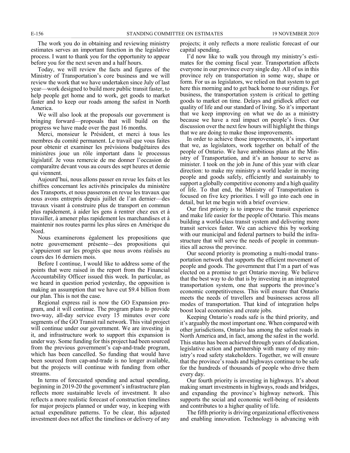The work you do in obtaining and reviewing ministry estimates serves an important function in the legislative process. I want to thank you for the opportunity to appear before you for the next seven and a half hours.

Today, we will review the facts and figures of the Ministry of Transportation's core business and we will review the work that we have undertaken since July of last year—work designed to build more public transit faster, to help people get home and to work, get goods to market faster and to keep our roads among the safest in North America.

We will also look at the proposals our government is bringing forward—proposals that will build on the progress we have made over the past 16 months.

Merci, monsieur le Président, et merci à tous les membres du comité permanent. Le travail que vous faites pour obtenir et examiner les prévisions budgétaires des ministères joue un rôle important dans le processus législatif. Je vous remercie de me donner l'occasion de comparaître devant vous au cours des sept heures et demie qui viennent.

Aujourd'hui, nous allons passer en revue les faits et les chiffres concernant les activités principales du ministère des Transports, et nous passerons en revue les travaux que nous avons entrepris depuis juillet de l'an dernier—des travaux visant à construire plus de transport en commun plus rapidement, à aider les gens à rentrer chez eux et à travailler, à amener plus rapidement les marchandises et à maintenir nos routes parmi les plus sûres en Amérique du Nord.

Nous examinerons également les propositions que notre gouvernement présente—des propositions qui s'appuieront sur les progrès que nous avons réalisés au cours des 16 derniers mois.

Before I continue, I would like to address some of the points that were raised in the report from the Financial Accountability Officer issued this week. In particular, as we heard in question period yesterday, the opposition is making an assumption that we have cut \$9.4 billion from our plan. This is not the case.

Regional express rail is now the GO Expansion program, and it will continue. The program plans to provide two-way, all-day service every 15 minutes over core segments of the GO Transit rail network. This vital project will continue under our government. We are investing in it, and infrastructure work to support this expansion is under way. Some funding for this project had been sourced from the previous government's cap-and-trade program, which has been cancelled. So funding that would have been sourced from cap-and-trade is no longer available, but the projects will continue with funding from other streams.

In terms of forecasted spending and actual spending, beginning in 2019-20 the government's infrastructure plan reflects more sustainable levels of investment. It also reflects a more realistic forecast of construction timelines for major projects planned or under way, in keeping with actual expenditure patterns. To be clear, this adjusted investment does not affect the timelines or delivery of any

projects; it only reflects a more realistic forecast of our capital spending.

I'd now like to walk you through my ministry's estimates for the coming fiscal year. Transportation affects everyone in our province every single day. All of us in this province rely on transportation in some way, shape or form. For us as legislators, we relied on that system to get here this morning and to get back home to our ridings. For business, the transportation system is critical to getting goods to market on time. Delays and gridlock affect our quality of life and our standard of living. So it's important that we keep improving on what we do as a ministry because we have a real impact on people's lives. Our discussion over the next few hours will highlight the things that we are doing to make those improvements.

In order to achieve those improvements, it's important that we, as legislators, work together on behalf of the people of Ontario. We have ambitious plans at the Ministry of Transportation, and it's an honour to serve as minister. I took on the job in June of this year with clear direction: to make my ministry a world leader in moving people and goods safely, efficiently and sustainably to support a globally competitive economy and a high quality of life. To that end, the Ministry of Transportation is focused on five key priorities. I will go into each one in detail, but let me begin with a brief overview.

Our first priority is to improve the transit experience and make life easier for the people of Ontario. This means building a world-class transit system and delivering more transit services faster. We can achieve this by working with our municipal and federal partners to build the infrastructure that will serve the needs of people in communities all across the province.

Our second priority is promoting a multi-modal transportation network that supports the efficient movement of people and goods. The government that I'm a part of was elected on a promise to get Ontario moving. We believe that the best way to do that is by investing in an integrated transportation system, one that supports the province's economic competitiveness. This will ensure that Ontario meets the needs of travellers and businesses across all modes of transportation. That kind of integration helps boost local economies and create jobs.

Keeping Ontario's roads safe is the third priority, and it's arguably the most important one. When compared with other jurisdictions, Ontario has among the safest roads in North America and, in fact, among the safest in the world. This status has been achieved through years of dedication, legislative action and partnership with many of my ministry's road safety stakeholders. Together, we will ensure that the province's roads and highways continue to be safe for the hundreds of thousands of people who drive them every day.

Our fourth priority is investing in highways. It's about making smart investments in highways, roads and bridges, and expanding the province's highway network. This supports the social and economic well-being of residents and contributes to a higher quality of life.

The fifth priority is driving organizational effectiveness and enabling innovation. Technology is advancing with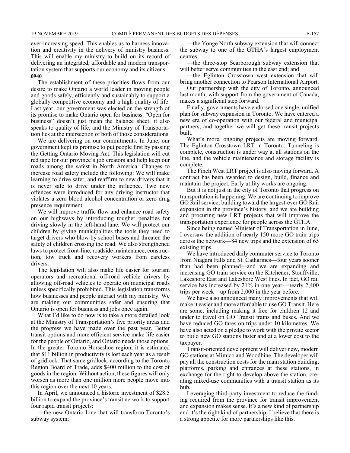ever-increasing speed. This enables us to harness innovation and creativity in the delivery of ministry business. This will enable my ministry to build on its record of delivering an integrated, affordable and modern transportation system that supports our economy and its citizens. **0940**

The establishment of these priorities flows from our desire to make Ontario a world leader in moving people and goods safely, efficiently and sustainably to support a globally competitive economy and a high quality of life. Last year, our government was elected on the strength of its promise to make Ontario open for business. "Open for business" doesn't just mean the balance sheet; it also speaks to quality of life, and the Ministry of Transportation lies at the intersection of both of those considerations.

We are delivering on our commitments. In June, our government kept its promise to put people first by passing the Getting Ontario Moving Act. This legislation will cut red tape for our province's job creators and help keep our roads among the safest in North America. Changes to increase road safety include the following: We will make learning to drive safer, and reaffirm to new drivers that it is never safe to drive under the influence. Two new offences were introduced for any driving instructor that violates a zero blood alcohol concentration or zero drug presence requirement.

We will improve traffic flow and enhance road safety on our highways by introducing tougher penalties for driving slowly in the left-hand lane. We will protect our children by giving municipalities the tools they need to target drivers who blow by school buses and threaten the safety of children crossing the road. We also strengthened laws to protect front-line, roadside maintenance, construction, tow truck and recovery workers from careless drivers.

The legislation will also make life easier for tourism operators and recreational off-road vehicle drivers by allowing off-road vehicles to operate on municipal roads unless specifically prohibited. This legislation transforms how businesses and people interact with my ministry. We are making our communities safer and ensuring that Ontario is open for business and jobs once again.

What I'd like to do now is to take a more detailed look at the Ministry of Transportation's five priority areas and the progress we have made over the past year. Better transit options and more efficient service make life easier for the people of Ontario, and Ontario needs those options. In the greater Toronto Horseshoe region, it is estimated that \$11 billion in productivity is lost each year as a result of gridlock. That same gridlock, according to the Toronto Region Board of Trade, adds \$400 million to the cost of goods in the region. Without action, these figures will only worsen as more than one million more people move into this region over the next 10 years.

In April, we announced a historic investment of \$28.5 billion to expand the province's transit network to support four rapid transit projects:

—the new Ontario Line that will transform Toronto's subway system;

—the Yonge North subway extension that will connect the subway to one of the GTHA's largest employment centres;

—the three-stop Scarborough subway extension that will better serve communities in the east end; and

—the Eglinton Crosstown west extension that will bring another connection to Pearson International Airport.

Our partnership with the city of Toronto, announced last month, with support from the government of Canada, makes a significant step forward.

Finally, governments have endorsed one single, unified plan for subway expansion in Toronto. We have entered a new era of co-operation with our federal and municipal partners, and together we will get these transit projects built.

What's more, ongoing projects are moving forward. The Eglinton Crosstown LRT in Toronto: Tunneling is complete, construction is under way at all stations on the line, and the vehicle maintenance and storage facility is complete.

The Finch West LRT project is also moving forward. A contract has been awarded to design, build, finance and maintain the project. Early utility works are ongoing.

But it is not just in the city of Toronto that progress on transportation is happening. We are continuing to improve GO Rail service, building toward the largest-ever GO Rail expansion in the province's history, and we are building and procuring new LRT projects that will improve the transportation experience for people across the GTHA.

Since being named Minister of Transportation in June, I oversaw the addition of nearly 150 more GO train trips across the network—84 new trips and the extension of 65 existing trips.

We have introduced daily commuter service to Toronto from Niagara Falls and St. Catharines—four years sooner than had been planned—and we are expanding and increasing GO train service on the Kitchener, Stouffville, Lakeshore East and Lakeshore West lines. In fact, GO rail service has increased by 21% in one year—nearly 2,400 trips per week—up from 2,000 in the year before.

We have also announced many improvements that will make it easier and more affordable to use GO Transit. Here are some, including making it free for children 12 and under to travel on GO Transit trains and buses. And we have reduced GO fares on trips under 10 kilometres. We have also acted on a pledge to work with the private sector to build new GO stations faster and at a lower cost to the taxpayer.

Transit-oriented development will deliver new, modern GO stations at Mimico and Woodbine. The developer will pay all the construction costs for the main station building, platforms, parking and entrances at these stations, in exchange for the right to develop above the station, creating mixed-use communities with a transit station as its hub.

Leveraging third-party investment to reduce the funding required from the province for transit improvement and expansion makes sense. It's a new kind of partnership and it's the right kind of partnership. I believe that there is a strong appetite for more partnerships like this.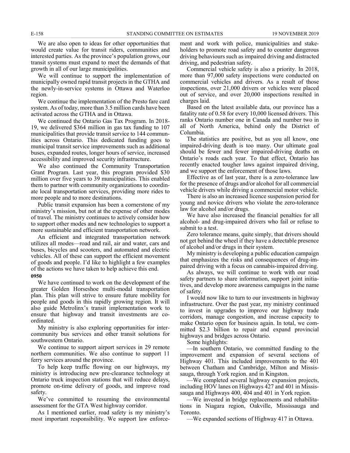We are also open to ideas for other opportunities that would create value for transit riders, communities and interested parties. As the province's population grows, our transit systems must expand to meet the demands of that growth in all of our large municipalities.

We will continue to support the implementation of municipally owned rapid transit projects in the GTHA and the newly-in-service systems in Ottawa and Waterloo region.

We continue the implementation of the Presto fare card system. As of today, more than 3.5 million cards have been activated across the GTHA and in Ottawa.

We continued the Ontario Gas Tax Program. In 2018- 19, we delivered \$364 million in gas tax funding to 107 municipalities that provide transit service to 144 communities across Ontario. This dedicated funding goes to municipal transit service improvements such as additional buses, expanded routes, longer hours of service, increased accessibility and improved security infrastructure.

We also continued the Community Transportation Grant Program. Last year, this program provided \$30 million over five years to 39 municipalities. This enabled them to partner with community organizations to coordinate local transportation services, providing more rides to more people and to more destinations.

Public transit expansion has been a cornerstone of my ministry's mission, but not at the expense of other modes of travel. The ministry continues to actively consider how to support other modes and new technologies to support a more sustainable and efficient transportation network.

An efficient and integrated transportation network utilizes all modes—road and rail, air and water, cars and buses, bicycles and scooters, and automated and electric vehicles. All of these can support the efficient movement of goods and people. I'd like to highlight a few examples of the actions we have taken to help achieve this end. **0950**

We have continued to work on the development of the greater Golden Horseshoe multi-modal transportation plan. This plan will strive to ensure future mobility for people and goods in this rapidly growing region. It will also guide Metrolinx's transit implementation work to ensure that highway and transit investments are coordinated.

My ministry is also exploring opportunities for intercommunity bus services and other transit solutions for southwestern Ontario.

We continue to support airport services in 29 remote northern communities. We also continue to support 11 ferry services around the province.

To help keep traffic flowing on our highways, my ministry is introducing new pre-clearance technology at Ontario truck inspection stations that will reduce delays, promote on-time delivery of goods, and improve road safety.

We've committed to resuming the environmental assessment for the GTA West highway corridor.

As I mentioned earlier, road safety is my ministry's most important responsibility. We support law enforcement and work with police, municipalities and stakeholders to promote road safety and to counter dangerous driving behaviours such as impaired driving and distracted driving, and pedestrian safety.

Commercial vehicle safety is also a priority. In 2018, more than 97,000 safety inspections were conducted on commercial vehicles and drivers. As a result of those inspections, over 21,000 drivers or vehicles were placed out of service, and over 20,000 inspections resulted in charges laid.

Based on the latest available data, our province has a fatality rate of 0.58 for every 10,000 licensed drivers. This ranks Ontario number one in Canada and number two in all of North America, behind only the District of Columbia.

The statistics are positive, but as you all know, one impaired-driving death is too many. Our ultimate goal should be fewer and fewer impaired-driving deaths on Ontario's roads each year. To that effect, Ontario has recently enacted tougher laws against impaired driving, and we support the enforcement of those laws.

Effective as of last year, there is a zero-tolerance law for the presence of drugs and/or alcohol for all commercial vehicle drivers while driving a commercial motor vehicle.

There is also an increased licence suspension period for young and novice drivers who violate the zero-tolerance law for alcohol and/or drugs.

We have also increased the financial penalties for all alcohol- and drug-impaired drivers who fail or refuse to submit to a test.

Zero tolerance means, quite simply, that drivers should not get behind the wheel if they have a detectable presence of alcohol and/or drugs in their system.

My ministry is developing a public education campaign that emphasizes the risks and consequences of drug-impaired driving with a focus on cannabis-impaired driving.

As always, we will continue to work with our road safety partners to share information, support joint initiatives, and develop more awareness campaigns in the name of safety.

I would now like to turn to our investments in highway infrastructure. Over the past year, my ministry continued to invest in upgrades to improve our highway trade corridors, manage congestion, and increase capacity to make Ontario open for business again. In total, we committed \$2.3 billion to repair and expand provincial highways and bridges across Ontario.

Some highlights:

—In southern Ontario, we committed funding to the improvement and expansion of several sections of Highway 401. This included improvements to the 401 between Chatham and Cambridge, Milton and Mississauga, through York region. and in Kingston.

—We completed several highway expansion projects, including HOV lanes on Highways 427 and 401 in Mississauga and Highways 400, 404 and 401 in York region.

—We invested in bridge replacements and rehabilitations in Niagara region, Oakville, Mississauga and Toronto.

—We expanded sections of Highway 417 in Ottawa.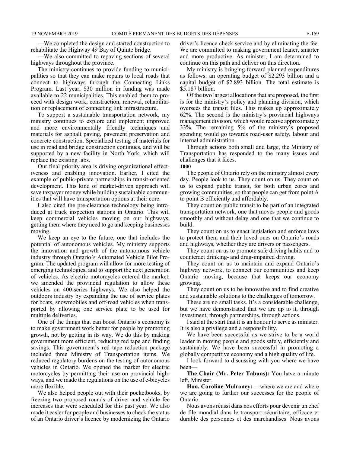—We completed the design and started construction to rehabilitate the Highway 49 Bay of Quinte bridge.

—We also committed to repaving sections of several highways throughout the province.

The ministry continues to provide funding to municipalities so that they can make repairs to local roads that connect to highways through the Connecting Links Program. Last year, \$30 million in funding was made available to 22 municipalities. This enabled them to proceed with design work, construction, renewal, rehabilitation or replacement of connecting link infrastructure.

To support a sustainable transportation network, my ministry continues to explore and implement improved and more environmentally friendly techniques and materials for asphalt paving, pavement preservation and concrete construction. Specialized testing of materials for use in road and bridge construction continues, and will be supported by a new facility in North York, which will replace the existing labs.

Our final priority area is driving organizational effectiveness and enabling innovation. Earlier, I cited the example of public-private partnerships in transit-oriented development. This kind of market-driven approach will save taxpayer money while building sustainable communities that will have transportation options at their core.

I also cited the pre-clearance technology being introduced at truck inspection stations in Ontario. This will keep commercial vehicles moving on our highways, getting them where they need to go and keeping businesses moving.

We keep an eye to the future, one that includes the potential of autonomous vehicles. My ministry supports the innovation and growth of the autonomous vehicle industry through Ontario's Automated Vehicle Pilot Program. The updated program will allow for more testing of emerging technologies, and to support the next generation of vehicles. As electric motorcycles entered the market, we amended the provincial regulation to allow these vehicles on 400-series highways. We also helped the outdoors industry by expanding the use of service plates for boats, snowmobiles and off-road vehicles when transported by allowing one service plate to be used for multiple deliveries.

One of the things that can boost Ontario's economy is to make government work better for people by promoting growth, not by getting in its way. We do this by making government more efficient, reducing red tape and finding savings. This government's red tape reduction package included three Ministry of Transportation items. We reduced regulatory burdens on the testing of autonomous vehicles in Ontario. We opened the market for electric motorcycles by permitting their use on provincial highways, and we made the regulations on the use of e-bicycles more flexible.

We also helped people out with their pocketbooks, by freezing two proposed rounds of driver and vehicle fee increases that were scheduled for this past year. We also made it easier for people and businesses to check the status of an Ontario driver's licence by modernizing the Ontario driver's licence check service and by eliminating the fee. We are committed to making government leaner, smarter and more productive. As minister, I am determined to continue on this path and deliver on this direction.

My ministry is bringing forward planned expenditures as follows: an operating budget of \$2.293 billion and a capital budget of \$2.893 billion. The total estimate is \$5.187 billion.

Of the two largest allocations that are proposed, the first is for the ministry's policy and planning division, which oversees the transit files. This makes up approximately 62%. The second is the ministry's provincial highways management division, which would receive approximately 33%. The remaining 5% of the ministry's proposed spending would go towards road-user safety, labour and internal administration.

Through actions both small and large, the Ministry of Transportation has responded to the many issues and challenges that it faces.

#### **1000**

The people of Ontario rely on the ministry almost every day. People look to us. They count on us. They count on us to expand public transit, for both urban cores and growing communities, so that people can get from point A to point B efficiently and affordably.

They count on public transit to be part of an integrated transportation network, one that moves people and goods smoothly and without delay and one that we continue to build.

They count on us to enact legislation and enforce laws to protect them and their loved ones on Ontario's roads and highways, whether they are drivers or passengers.

They count on us to promote safe driving habits and to counteract drinking- and drug-impaired driving.

They count on us to maintain and expand Ontario's highway network, to connect our communities and keep Ontario moving, because that keeps our economy growing.

They count on us to be innovative and to find creative and sustainable solutions to the challenges of tomorrow.

These are no small tasks. It's a considerable challenge, but we have demonstrated that we are up to it, through investment, through partnerships, through actions.

I said at the start that it is an honour to serve as minister. It is also a privilege and a responsibility.

We have been successful as we strive to be a world leader in moving people and goods safely, efficiently and sustainably. We have been successful in promoting a globally competitive economy and a high quality of life.

I look forward to discussing with you where we have been—

**The Chair (Mr. Peter Tabuns):** You have a minute left, Minister.

**Hon. Caroline Mulroney:** —where we are and where we are going to further our successes for the people of Ontario.

Nous avons réussi dans nos efforts pour devenir un chef de file mondial dans le transport sécuritaire, efficace et durable des personnes et des marchandises. Nous avons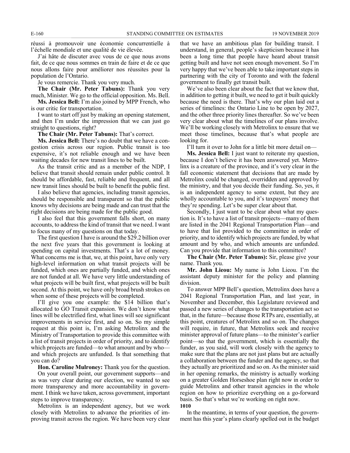réussi à promouvoir une économie concurrentielle à l'échelle mondiale et une qualité de vie élevée.

J'ai hâte de discuter avec vous de ce que nous avons fait, de ce que nous sommes en train de faire et de ce que nous allons faire pour améliorer nos réussites pour la population de l'Ontario.

Je vous remercie. Thank you very much.

**The Chair (Mr. Peter Tabuns):** Thank you very much, Minister. We go to the official opposition. Ms. Bell.

**Ms. Jessica Bell:** I'm also joined by MPP French, who is our critic for transportation.

I want to start off just by making an opening statement, and then I'm under the impression that we can just go straight to questions, right?

**The Chair (Mr. Peter Tabuns):** That's correct.

**Ms. Jessica Bell:** There's no doubt that we have a congestion crisis across our region. Public transit is too expensive, it's not reliable enough and we have been waiting decades for new transit lines to be built.

As the transit critic and as a member of the NDP, I believe that transit should remain under public control. It should be affordable, fast, reliable and frequent, and all new transit lines should be built to benefit the public first.

I also believe that agencies, including transit agencies, should be responsible and transparent so that the public knows why decisions are being made and can trust that the right decisions are being made for the public good.

I also feel that this government falls short, on many accounts, to address the kind of transit that we need. I want to focus many of my questions on that today.

The first question I have is around the \$29.2 billion over the next five years that this government is looking at spending on capital investments. That's a lot of money. What concerns me is that, we, at this point, have only very high-level information on what transit projects will be funded, which ones are partially funded, and which ones are not funded at all. We have very little understanding of what projects will be built first, what projects will be built second. At this point, we have only broad brush strokes on when some of these projects will be completed.

I'll give you one example: the \$14 billion that's allocated to GO Transit expansion. We don't know what lines will be electrified first, what lines will see significant improvements in service first, and so on. So my simple request at this point is, I'm asking Metrolinx and the Ministry of Transportation to provide this committee with a list of transit projects in order of priority, and to identify which projects are funded—to what amount and by who and which projects are unfunded. Is that something that you can do?

**Hon. Caroline Mulroney:** Thank you for the question.

On your overall point, our government supports—and as was very clear during our election, we wanted to see more transparency and more accountability in government. I think we have taken, across government, important steps to improve transparency.

Metrolinx is an independent agency, but we work closely with Metrolinx to advance the priorities of improving transit across the region. We have been very clear that we have an ambitious plan for building transit. I understand, in general, people's skepticism because it has been a long time that people have heard about transit getting built and have not seen enough movement. So I'm very happy that we've been able to take important steps in partnering with the city of Toronto and with the federal government to finally get transit built.

We've also been clear about the fact that we know that, in addition to getting it built, we need to get it built quickly because the need is there. That's why our plan laid out a series of timelines: the Ontario Line to be open by 2027, and the other three priority lines thereafter. So we've been very clear about what the timelines of our plans involve. We'll be working closely with Metrolinx to ensure that we meet those timelines, because that's what people are looking for.

I'll turn it over to John for a little bit more detail on—

**Ms. Jessica Bell:** I just want to reiterate my question, because I don't believe it has been answered yet. Metrolinx is a creature of the province, and it's very clear in the fall economic statement that decisions that are made by Metrolinx could be changed, overridden and approved by the ministry, and that you decide their funding. So, yes, it is an independent agency to some extent, but they are wholly accountable to you, and it's taxpayers' money that they're spending. Let's be super clear about that.

Secondly, I just want to be clear about what my question is. It's to have a list of transit projects—many of them are listed in the 2041 Regional Transportation Plan—and to have that list provided to the committee in order of priority, and to identify which projects are funded, by what amount and by who, and which amounts are unfunded. Can you provide that information to this committee?

**The Chair (Mr. Peter Tabuns):** Sir, please give your name. Thank you.

**Mr. John Lieou:** My name is John Lieou. I'm the assistant deputy minister for the policy and planning division.

To answer MPP Bell's question, Metrolinx does have a 2041 Regional Transportation Plan, and last year, in November and December, this Legislature reviewed and passed a new series of changes to the transportation act so that, in the future—because those RTPs are, essentially, at this point, creatures of Metrolinx and so on. The changes will require, in future, that Metrolinx seek and receive minister approval of future plans—to the minister's earlier point—so that the government, which is essentially the funder, as you said, will work closely with the agency to make sure that the plans are not just plans but are actually a collaboration between the funder and the agency, so that they actually are prioritized and so on. As the minister said in her opening remarks, the ministry is actually working on a greater Golden Horseshoe plan right now in order to guide Metrolinx and other transit agencies in the whole region on how to prioritize everything on a go-forward basis. So that's what we're working on right now. **1010**

In the meantime, in terms of your question, the government has this year's plans clearly spelled out in the budget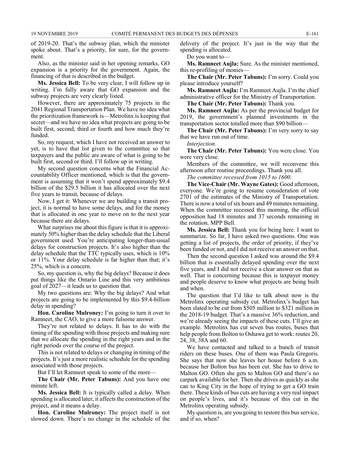of 2019-20. That's the subway plan, which the minister spoke about. That's a priority, for sure, for the government.

Also, as the minister said in her opening remarks, GO expansion is a priority for the government. Again, the financing of that is described in the budget.

**Ms. Jessica Bell:** To be very clear, I will follow up in writing. I'm fully aware that GO expansion and the subway projects are very clearly listed.

However, there are approximately 75 projects in the 2041 Regional Transportation Plan. We have no idea what the prioritization framework is—Metrolinx is keeping that secret—and we have no idea what projects are going to be built first, second, third or fourth and how much they're funded.

So, my request, which I have not received an answer to yet, is to have that list given to the committee so that taxpayers and the public are aware of what is going to be built first, second or third. I'll follow up in writing.

My second question concerns what the Financial Accountability Officer mentioned, which is that the government is assuming that it won't spend approximately \$9.4 billion of the \$29.5 billion it has allocated over the next five years to transit, because of delays.

Now, I get it: Whenever we are building a transit project, it is normal to have some delays, and for the money that is allocated in one year to move on to the next year because there are delays.

What surprises me about this figure is that it is approximately 50% higher than the delay schedule that the Liberal government used. You're anticipating longer-than-usual delays for construction projects. It's also higher than the delay schedule that the TTC typically uses, which is 10% or 11%. Your delay schedule is far higher than that; it's 25%, which is a concern.

So, my question is, why the big delays? Because it does put things like the Ontario Line and this very ambitious goal of 2027—it leads us to question that.

My two questions are: Why the big delays? And what projects are going to be implemented by this \$9.4-billion delay in spending?

**Hon. Caroline Mulroney:** I'm going to turn it over to Ramneet, the CAO, to give a more fulsome answer.

They're not related to delays. It has to do with the timing of the spending with those projects and making sure that we allocate the spending in the right years and in the right periods over the course of the project.

This is not related to delays or changing in timing of the projects. It's just a more realistic schedule for the spending associated with those projects.

But I'll let Ramneet speak to some of the more—

**The Chair (Mr. Peter Tabuns):** And you have one minute left.

**Ms. Jessica Bell:** It is typically called a delay. When spending is allocated later, it affects the construction of the project, and it means a delay.

**Hon. Caroline Mulroney:** The project itself is not slowed down. There's no change in the schedule of the delivery of the project. It's just in the way that the spending is allocated.

Do you want to—

**Ms. Ramneet Aujla:** Sure. As the minister mentioned, this re-profiling of monies—

**The Chair (Mr. Peter Tabuns):** I'm sorry. Could you please introduce yourself?

**Ms. Ramneet Aujla:** I'm Ramneet Aujla. I'm the chief administrative officer for the Ministry of Transportation.

**The Chair (Mr. Peter Tabuns):** Thank you.

**Ms. Ramneet Aujla:** As per the provincial budget for 2019, the government's planned investments in the transportation sector totalled more than \$90 billion—

**The Chair (Mr. Peter Tabuns):** I'm very sorry to say that we have run out of time.

*Interjection.*

**The Chair (Mr. Peter Tabuns):** You were close. You were very close.

Members of the committee, we will reconvene this afternoon after routine proceedings. Thank you all.

*The committee recessed from 1015 to 1600.*

**The Vice-Chair (Mr. Wayne Gates):** Good afternoon, everyone. We're going to resume consideration of vote 2701 of the estimates of the Ministry of Transportation. There is now a total of six hours and 49 minutes remaining. When the committee recessed this morning, the official opposition had 18 minutes and 37 seconds remaining in the rotation. MPP Bell.

**Ms. Jessica Bell:** Thank you for being here. I want to summarize. So far, I have asked two questions. One was getting a list of projects, the order of priority, if they've been funded or not, and I did not receive an answer on that.

Then the second question I asked was around the \$9.4 billion that is essentially delayed spending over the next five years, and I did not receive a clear answer on that as well. That is concerning because this is taxpayer money and people deserve to know what projects are being built and when.

The question that I'd like to talk about now is the Metrolinx operating subsidy cut. Metrolinx's budget has been slated to be cut from \$505 million to \$321 million in the 2018-19 budget. That's a massive 36% reduction, and we're already seeing the impacts of these cuts. I'll give an example. Metrolinx has cut seven bus routes, buses that help people from Bolton to Oshawa get to work: routes 20, 24, 38, 38A and 60.

We have contacted and talked to a bunch of transit riders on these buses. One of them was Paula Gregoris. She says that now she leaves her house before 6 a.m. because her Bolton bus has been cut. She has to drive to Malton GO. Often she gets to Malton GO and there's no carpark available for her. Then she drives as quickly as she can to King City in the hope of trying to get a GO train there. These kinds of bus cuts are having a very real impact on people's lives, and it's because of this cut in the Metrolinx operating subsidy.

My question is, are you going to restore this bus service, and if so, when?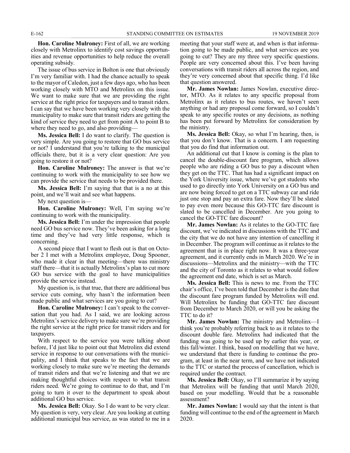**Hon. Caroline Mulroney:** First of all, we are working closely with Metrolinx to identify cost savings opportunities and revenue opportunities to help reduce the overall operating subsidy.

The issue of bus service in Bolton is one that obviously I'm very familiar with. I had the chance actually to speak to the mayor of Caledon, just a few days ago, who has been working closely with MTO and Metrolinx on this issue. We want to make sure that we are providing the right service at the right price for taxpayers and to transit riders. I can say that we have been working very closely with the municipality to make sure that transit riders are getting the kind of service they need to get from point A to point B to where they need to go, and also providing—

**Ms. Jessica Bell:** I do want to clarify. The question is very simple. Are you going to restore that GO bus service or not? I understand that you're talking to the municipal officials there, but it is a very clear question: Are you going to restore it or not?

**Hon. Caroline Mulroney:** The answer is that we're continuing to work with the municipality to see how we can provide the service that needs to be provided there.

**Ms. Jessica Bell:** I'm saying that that is a no at this point, and we'll wait and see what happens.

My next question is—

**Hon. Caroline Mulroney:** Well, I'm saying we're continuing to work with the municipality.

**Ms. Jessica Bell:** I'm under the impression that people need GO bus service now. They've been asking for a long time and they've had very little response, which is concerning.

A second piece that I want to flesh out is that on October 2 I met with a Metrolinx employee, Doug Spooner, who made it clear in that meeting—there was ministry staff there—that it is actually Metrolinx's plan to cut more GO bus service with the goal to have municipalities provide the service instead.

My question is, is that true, that there are additional bus service cuts coming, why hasn't the information been made public and what services are you going to cut?

**Hon. Caroline Mulroney:** I can't speak to the conversation that you had. As I said, we are looking across Metrolinx's service delivery to make sure we're providing the right service at the right price for transit riders and for taxpayers.

With respect to the service you were talking about before, I'd just like to point out that Metrolinx did extend service in response to our conversations with the municipality, and I think that speaks to the fact that we are working closely to make sure we're meeting the demands of transit riders and that we're listening and that we are making thoughtful choices with respect to what transit riders need. We're going to continue to do that, and I'm going to turn it over to the department to speak about additional GO bus service.

**Ms. Jessica Bell:** Okay. So I do want to be very clear. My question is very, very clear. Are you looking at cutting additional municipal bus service, as was stated to me in a meeting that your staff were at, and when is that information going to be made public, and what services are you going to cut? They are my three very specific questions. People are very concerned about this. I've been having conversations with transit riders all across the region, and they're very concerned about that specific thing. I'd like that question answered.

**Mr. James Nowlan:** James Nowlan, executive director, MTO. As it relates to any specific proposal from Metrolinx as it relates to bus routes, we haven't seen anything or had any proposal come forward, so I couldn't speak to any specific routes or any decisions, as nothing has been put forward by Metrolinx for consideration by the ministry.

**Ms. Jessica Bell:** Okay, so what I'm hearing, then, is that you don't know. That is a concern. I am requesting that you do find that information out.

An additional cut that I know is coming is the plan to cancel the double-discount fare program, which allows people who are riding a GO bus to pay a discount when they get on the TTC. That has had a significant impact on the York University issue, where we've got students who used to go directly into York University on a GO bus and are now being forced to get on a TTC subway car and ride just one stop and pay an extra fare. Now they'll be slated to pay even more because this GO-TTC fare discount is slated to be cancelled in December. Are you going to cancel the GO-TTC fare discount?

**Mr. James Nowlan:** As it relates to the GO-TTC fare discount, we've indicated in discussions with the TTC and the city that we do not have any intention of cancelling it in December. The program will continue as it relates to the agreement that is in place right now. It was a three-year agreement, and it currently ends in March 2020. We're in discussions—Metrolinx and the ministry—with the TTC and the city of Toronto as it relates to what would follow the agreement end date, which is set as March.

**Ms. Jessica Bell:** This is news to me. From the TTC chair's office, I've been told that December is the date that the discount fare program funded by Metrolinx will end. Will Metrolinx be funding that GO-TTC fare discount from December to March 2020, or will you be asking the TTC to do it?

**Mr. James Nowlan:** The ministry and Metrolinx—I think you're probably referring back to as it relates to the discount double fare. Metrolinx had indicated that the funding was going to be used up by earlier this year, or this fall/winter. I think, based on modelling that we have, we understand that there is funding to continue the program, at least in the near term, and we have not indicated to the TTC or started the process of cancellation, which is required under the contract.

**Ms. Jessica Bell:** Okay, so I'll summarize it by saying that Metrolinx will be funding that until March 2020, based on your modelling. Would that be a reasonable assessment?

**Mr. James Nowlan:** I would say that the intent is that funding will continue to the end of the agreement in March 2020.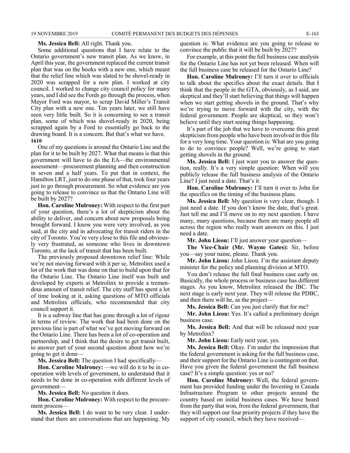#### **Ms. Jessica Bell:** All right. Thank you.

Some additional questions that I have relate to the Ontario government's new transit plan. As we know, in April this year, the government replaced the current transit plan that was on the books with a new one, which meant that the relief line which was slated to be shovel-ready in 2020 was scrapped for a new plan. I worked at city council. I worked to change city council policy for many years, and I did see the Fords go through the process, when Mayor Ford was mayor, to scrap David Miller's Transit City plan with a new one. Ten years later, we still have seen very little built. So it is concerning to see a transit plan, some of which was shovel-ready in 2020, being scrapped again by a Ford to essentially go back to the drawing board. It is a concern. But that's what we have. **1610**

One of my questions is around the Ontario Line and the plan for it to be built by 2027. What that means is that this government will have to do the EA—the environmental assessment—procurement planning and then construction in seven and a half years. To put that in context, the Hamilton LRT, just to do one phase of that, took four years just to go through procurement. So what evidence are you going to release to convince us that the Ontario Line will be built by 2027?

**Hon. Caroline Mulroney:** With respect to the first part of your question, there's a lot of skepticism about the ability to deliver, and concern about new proposals being brought forward. I know you were very involved, as you said, at the city and in advocating for transit riders in the city of Toronto. You're very close to this file and obviously very frustrated, as someone who lives in downtown Toronto, at the lack of transit that has been built.

The previously proposed downtown relief line: While we're not moving forward with it per se, Metrolinx used a lot of the work that was done on that to build upon that for the Ontario Line. The Ontario Line itself was built and developed by experts at Metrolinx to provide a tremendous amount of transit relief. The city staff has spent a lot of time looking at it, asking questions of MTO officials and Metrolinx officials, who recommended that city council support it.

It is a subway line that has gone through a lot of rigour in terms of review. The work that had been done on the previous line is part of what we've got moving forward on the Ontario Line. There has been a lot of co-operation and partnership, and I think that the desire to get transit built, to answer part of your second question about how we're going to get it done—

**Ms. Jessica Bell:** The question I had specifically—

**Hon. Caroline Mulroney:** —we will do it to be in cooperation with levels of government, to understand that it needs to be done in co-operation with different levels of government—

**Ms. Jessica Bell:** No question it does.

**Hon. Caroline Mulroney:** With respect to the procurement process—

**Ms. Jessica Bell:** I do want to be very clear. I understand that there are conversations that are happening. My question is: What evidence are you going to release to convince the public that it will be built by 2027?

For example, at this point the full business case analysis for the Ontario Line has not yet been released. When will the full business case be released for the Ontario Line?

**Hon. Caroline Mulroney:** I'll turn it over to officials to talk about the specifics about the exact details. But I think that the people in the GTA, obviously, as I said, are skeptical and they'll start believing that things will happen when we start getting shovels in the ground. That's why we're trying to move forward with the city, with the federal government. People are skeptical, so they won't believe until they start seeing things happening.

It's part of the job that we have to overcome this great skepticism from people who have been involved in this file for a very long time. Your question is: What are you going to do to convince people? Well, we're going to start getting shovels in the ground.

**Ms. Jessica Bell:** I just want you to answer the question, really. It's a very simple question: When will you publicly release the full business analysis of the Ontario Line? I just need a date. That's it.

**Hon. Caroline Mulroney:** I'll turn it over to John for the specifics on the timing of the business plans.

**Ms. Jessica Bell:** My question is very clear, though. I just need a date. If you don't know the date, that's great. Just tell me and I'll move on to my next question. I have many, many questions, because there are many people all across the region who really want answers on this. I just need a date.

**Mr. John Lieou:** I'll just answer your question—

**The Vice-Chair (Mr. Wayne Gates):** Sir, before you—say your name, please. Thank you.

**Mr. John Lieou:** John Lieou. I'm the assistant deputy minister for the policy and planning division at MTO.

You don't release the full final business case early on. Basically, the whole process or business case has different stages. As you know, Metrolinx released the IBC. The next stage is early next year. They will release the PDBC, and then there will be, as the project—

**Ms. Jessica Bell:** Can you just clarify that for me?

**Mr. John Lieou:** Yes. It's called a preliminary design business case.

**Ms. Jessica Bell:** And that will be released next year by Metrolinx?

**Mr. John Lieou:** Early next year, yes.

**Ms. Jessica Bell:** Okay. I'm under the impression that the federal government is asking for the full business case, and their support for the Ontario Line is contingent on that. Have you given the federal government the full business case? It's a simple question: yes or no?

**Hon. Caroline Mulroney:** Well, the federal government has provided funding under the Investing in Canada Infrastructure Program to other projects around the country based on initial business cases. We have heard from the party that won, from the federal government, that they will support our four priority projects if they have the support of city council, which they have received—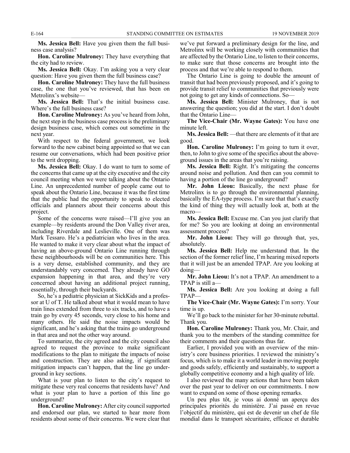**Ms. Jessica Bell:** Have you given them the full business case analysis?

**Hon. Caroline Mulroney:** They have everything that the city had to review.

**Ms. Jessica Bell:** Okay. I'm asking you a very clear question: Have you given them the full business case?

**Hon. Caroline Mulroney:** They have the full business case, the one that you've reviewed, that has been on Metrolinx's website—

**Ms. Jessica Bell:** That's the initial business case. Where's the full business case?

**Hon. Caroline Mulroney:** As you've heard from John, the next step in the business case process is the preliminary design business case, which comes out sometime in the next year.

With respect to the federal government, we look forward to the new cabinet being appointed so that we can resume our conversations, which had been positive prior to the writ dropping.

**Ms. Jessica Bell:** Okay. I do want to turn to some of the concerns that came up at the city executive and the city council meeting when we were talking about the Ontario Line. An unprecedented number of people came out to speak about the Ontario Line, because it was the first time that the public had the opportunity to speak to elected officials and planners about their concerns about this project.

Some of the concerns were raised—I'll give you an example—by residents around the Don Valley river area, including Riverdale and Leslieville. One of them was Mark Tessaro. He's a pediatrician who lives in the area. He wanted to make it very clear about what the impact of having an above-ground Ontario Line running through these neighbourhoods will be on communities here. This is a very dense, established community, and they are understandably very concerned. They already have GO expansion happening in that area, and they're very concerned about having an additional project running, essentially, through their backyards.

So, he's a pediatric physician at SickKids and a professor at U of T. He talked about what it would mean to have train lines extended from three to six tracks, and to have a train go by every 45 seconds, very close to his home and many others. He said the noise impacts would be significant, and he's asking that the trains go underground in that area and not the other way around.

To summarize, the city agreed and the city council also agreed to request the province to make significant modifications to the plan to mitigate the impacts of noise and construction. They are also asking, if significant mitigation impacts can't happen, that the line go underground in key sections.

What is your plan to listen to the city's request to mitigate these very real concerns that residents have? And what is your plan to have a portion of this line go underground?

**Hon. Caroline Mulroney:** After city council supported and endorsed our plan, we started to hear more from residents about some of their concerns. We were clear that we've put forward a preliminary design for the line, and Metrolinx will be working closely with communities that are affected by the Ontario Line, to listen to their concerns, to make sure that those concerns are brought into the process and that we're able to respond to them.

The Ontario Line is going to double the amount of transit that had been previously proposed, and it's going to provide transit relief to communities that previously were not going to get any kinds of connections. So—

**Ms. Jessica Bell:** Minister Mulroney, that is not answering the question; you did at the start. I don't doubt that the Ontario Line—

**The Vice-Chair (Mr. Wayne Gates):** You have one minute left.

**Ms. Jessica Bell:** —that there are elements of it that are good.

**Hon. Caroline Mulroney:** I'm going to turn it over, then, to John to give some of the specifics about the aboveground issues in the areas that you're raising.

**Ms. Jessica Bell:** Right. It's mitigating the concerns around noise and pollution. And then can you commit to having a portion of the line go underground?

**Mr. John Lieou:** Basically, the next phase for Metrolinx is to go through the environmental planning, basically the EA-type process. I'm sure that that's exactly the kind of thing they will actually look at, both at the macro—

**Ms. Jessica Bell:** Excuse me. Can you just clarify that for me? So you are looking at doing an environmental assessment process?

**Mr. John Lieou:** They will go through that, yes, absolutely.

**Ms. Jessica Bell:** Help me understand that. In the section of the former relief line, I'm hearing mixed reports that it will just be an amended TPAP. Are you looking at doing—

**Mr. John Lieou:** It's not a TPAP. An amendment to a TPAP is still a—

**Ms. Jessica Bell:** Are you looking at doing a full TPAP—

**The Vice-Chair (Mr. Wayne Gates):** I'm sorry. Your time is up.

We'll go back to the minister for her 30-minute rebuttal. Thank you.

**Hon. Caroline Mulroney:** Thank you, Mr. Chair, and thank you to the members of the standing committee for their comments and their questions thus far.

Earlier, I provided you with an overview of the ministry's core business priorities. I reviewed the ministry's focus, which is to make it a world leader in moving people and goods safely, efficiently and sustainably, to support a globally competitive economy and a high quality of life.

I also reviewed the many actions that have been taken over the past year to deliver on our commitments. I now want to expand on some of those opening remarks.

Un peu plus tôt, je vous ai donné un aperçu des principales priorités du ministère. J'ai passé en revue l'objectif du ministère, qui est de devenir un chef de file mondial dans le transport sécuritaire, efficace et durable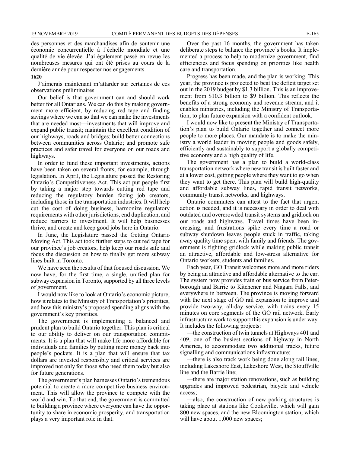des personnes et des marchandises afin de soutenir une économie concurrentielle à l'échelle mondiale et une qualité de vie élevée. J'ai également passé en revue les nombreuses mesures qui ont été prises au cours de la dernière année pour respecter nos engagements. **1620**

J'aimerais maintenant m'attarder sur certaines de ces observations préliminaires.

Our belief is that government can and should work better for all Ontarians. We can do this by making government more efficient, by reducing red tape and finding savings where we can so that we can make the investments that are needed most—investments that will improve and expand public transit; maintain the excellent condition of our highways, roads and bridges; build better connections between communities across Ontario; and promote safe practices and safer travel for everyone on our roads and highways.

In order to fund these important investments, actions have been taken on several fronts; for example, through legislation. In April, the Legislature passed the Restoring Ontario's Competitiveness Act. This act put people first by taking a major step towards cutting red tape and reducing the regulatory burden facing job creators, including those in the transportation industries. It will help cut the cost of doing business, harmonize regulatory requirements with other jurisdictions, end duplication, and reduce barriers to investment. It will help businesses thrive, and create and keep good jobs here in Ontario.

In June, the Legislature passed the Getting Ontario Moving Act. This act took further steps to cut red tape for our province's job creators, help keep our roads safe and focus the discussion on how to finally get more subway lines built in Toronto.

We have seen the results of that focused discussion. We now have, for the first time, a single, unified plan for subway expansion in Toronto, supported by all three levels of government.

I would now like to look at Ontario's economic picture, how it relates to the Ministry of Transportation's priorities, and how this ministry's proposed spending aligns with the government's key priorities.

The government is implementing a balanced and prudent plan to build Ontario together. This plan is critical to our ability to deliver on our transportation commitments. It is a plan that will make life more affordable for individuals and families by putting more money back into people's pockets. It is a plan that will ensure that tax dollars are invested responsibly and critical services are improved not only for those who need them today but also for future generations.

The government's plan harnesses Ontario's tremendous potential to create a more competitive business environment. This will allow the province to compete with the world and win. To that end, the government is committed to building a province where everyone can have the opportunity to share in economic prosperity, and transportation plays a very important role in that.

Over the past 16 months, the government has taken deliberate steps to balance the province's books. It implemented a process to help to modernize government, find efficiencies and focus spending on priorities like health care and transportation.

Progress has been made, and the plan is working. This year, the province is projected to beat the deficit target set out in the 2019 budget by \$1.3 billion. This is an improvement from \$10.3 billion to \$9 billion. This reflects the benefits of a strong economy and revenue stream, and it enables ministries, including the Ministry of Transportation, to plan future expansion with a confident outlook.

I would now like to present the Ministry of Transportation's plan to build Ontario together and connect more people to more places. Our mandate is to make the ministry a world leader in moving people and goods safely, efficiently and sustainably to support a globally competitive economy and a high quality of life.

The government has a plan to build a world-class transportation network where new transit is built faster and at a lower cost, getting people where they want to go when they want to get there. This plan will build high-quality and affordable subway lines, rapid transit networks, community transit networks, and highways.

Ontario commuters can attest to the fact that urgent action is needed, and it is necessary in order to deal with outdated and overcrowded transit systems and gridlock on our roads and highways. Travel times have been increasing, and frustrations spike every time a road or subway shutdown leaves people stuck in traffic, taking away quality time spent with family and friends. The government is fighting gridlock while making public transit an attractive, affordable and low-stress alternative for Ontario workers, students and families.

Each year, GO Transit welcomes more and more riders by being an attractive and affordable alternative to the car. The system now provides train or bus service from Peterborough and Barrie to Kitchener and Niagara Falls, and everywhere in between. The province is moving forward with the next stage of GO rail expansion to improve and provide two-way, all-day service, with trains every 15 minutes on core segments of the GO rail network. Early infrastructure work to support this expansion is under way. It includes the following projects:

—the construction of twin tunnels at Highways 401 and 409, one of the busiest sections of highway in North America, to accommodate two additional tracks, future signalling and communications infrastructure;

—there is also track work being done along rail lines, including Lakeshore East, Lakeshore West, the Stouffville line and the Barrie line;

—there are major station renovations, such as building upgrades and improved pedestrian, bicycle and vehicle access;

—also, the construction of new parking structures is taking place at stations like Cooksville, which will gain 800 new spaces, and the new Bloomington station, which will have about 1,000 new spaces;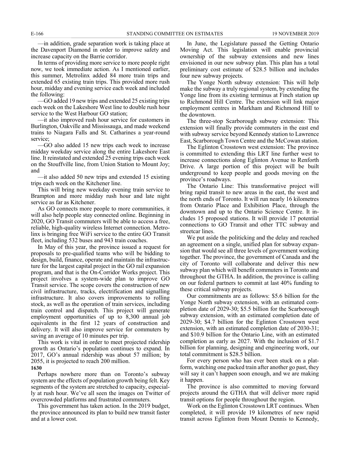—in addition, grade separation work is taking place at the Davenport Diamond in order to improve safety and increase capacity on the Barrie corridor.

In terms of providing more service to more people right now, we took immediate action. As I mentioned earlier, this summer, Metrolinx added 84 more train trips and extended 65 existing train trips. This provided more rush hour, midday and evening service each week and included the following:

—GO added 19 new trips and extended 25 existing trips each week on the Lakeshore West line to double rush hour service to the West Harbour GO station;

—it also improved rush hour service for customers in Burlington, Oakville and Mississauga, and made weekend trains to Niagara Falls and St. Catharines a year-round service;

—GO also added 15 new trips each week to increase midday weekday service along the entire Lakeshore East line. It reinstated and extended 25 evening trips each week on the Stouffville line, from Union Station to Mount Joy; and

—it also added 50 new trips and extended 15 existing trips each week on the Kitchener line.

This will bring new weekday evening train service to Brampton and more midday rush hour and late night service as far as Kitchener.

As GO connects more people to more communities, it will also help people stay connected online. Beginning in 2020, GO Transit commuters will be able to access a free, reliable, high-quality wireless Internet connection. Metrolinx is bringing free WiFi service to the entire GO Transit fleet, including 532 buses and 943 train coaches.

In May of this year, the province issued a request for proposals to pre-qualified teams who will be bidding to design, build, finance, operate and maintain the infrastructure for the largest capital project in the GO rail expansion program, and that is the On-Corridor Works project. This project involves a system-wide plan to improve GO Transit service. The scope covers the construction of new civil infrastructure, tracks, electrification and signalling infrastructure. It also covers improvements to rolling stock, as well as the operation of train services, including train control and dispatch. This project will generate employment opportunities of up to 8,300 annual job equivalents in the first 12 years of construction and delivery. It will also improve service for commuters by saving an average of 10 minutes per trip.

This work is vital in order to meet projected ridership growth as Ontario's population continues to expand. In 2017, GO's annual ridership was about 57 million; by 2055, it is projected to reach 200 million.

#### **1630**

Perhaps nowhere more than on Toronto's subway system are the effects of population growth being felt. Key segments of the system are stretched to capacity, especially at rush hour. We've all seen the images on Twitter of overcrowded platforms and frustrated commuters.

This government has taken action. In the 2019 budget, the province announced its plan to build new transit faster and at a lower cost.

In June, the Legislature passed the Getting Ontario Moving Act. This legislation will enable provincial ownership of the subway extensions and new lines envisioned in our new subway plan. This plan has a total preliminary cost estimate of \$28.5 billion and includes four new subway projects.

The Yonge North subway extension: This will help make the subway a truly regional system, by extending the Yonge line from its existing terminus at Finch station up to Richmond Hill Centre. The extension will link major employment centres in Markham and Richmond Hill to the downtown.

The three-stop Scarborough subway extension: This extension will finally provide commuters in the east end with subway service beyond Kennedy station to Lawrence East, Scarborough Town Centre and the McCowan station.

The Eglinton Crosstown west extension: The province is committed to extending this LRT line further west to increase connections along Eglinton Avenue to Renforth Drive. A large portion of this project will be built underground to keep people and goods moving on the province's roadways.

The Ontario Line: This transformative project will bring rapid transit to new areas in the east, the west and the north ends of Toronto. It will run nearly 16 kilometres from Ontario Place and Exhibition Place, through the downtown and up to the Ontario Science Centre. It includes 15 proposed stations. It will provide 17 potential connections to GO Transit and other TTC subway and streetcar lines.

We put aside the politicking and the delay and reached an agreement on a single, unified plan for subway expansion that would see all three levels of government working together. The province, the government of Canada and the city of Toronto will collaborate and deliver this new subway plan which will benefit commuters in Toronto and throughout the GTHA. In addition, the province is calling on our federal partners to commit at last 40% funding to these critical subway projects.

Our commitments are as follows: \$5.6 billion for the Yonge North subway extension, with an estimated completion date of 2029-30; \$5.5 billion for the Scarborough subway extension, with an estimated completion date of 2029-30; \$4.7 billion for the Eglinton Crosstown west extension, with an estimated completion date of 2030-31; and \$10.9 billion for the Ontario Line, with an estimated completion as early as 2027. With the inclusion of \$1.7 billion for planning, designing and engineering work, our total commitment is \$28.5 billion.

For every person who has ever been stuck on a platform, watching one packed train after another go past, they will say it can't happen soon enough, and we are making it happen.

The province is also committed to moving forward projects around the GTHA that will deliver more rapid transit options for people throughout the region.

Work on the Eglinton Crosstown LRT continues. When completed, it will provide 19 kilometres of new rapid transit across Eglinton from Mount Dennis to Kennedy,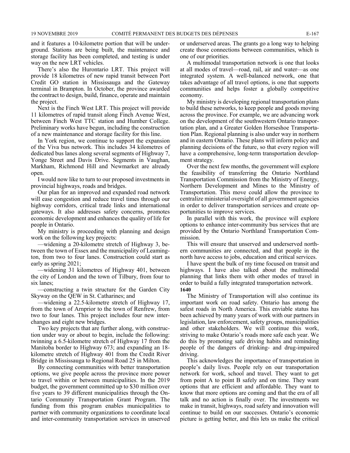and it features a 10-kilometre portion that will be underground. Stations are being built, the maintenance and storage facility has been completed, and testing is under way on the new LRT vehicles.

There's also the Hurontario LRT. This project will provide 18 kilometres of new rapid transit between Port Credit GO station in Mississauga and the Gateway terminal in Brampton. In October, the province awarded the contract to design, build, finance, operate and maintain the project.

Next is the Finch West LRT. This project will provide 11 kilometres of rapid transit along Finch Avenue West, between Finch West TTC station and Humber College. Preliminary works have begun, including the construction of a new maintenance and storage facility for this line.

In York region, we continue to support the expansion of the Viva bus network. This includes 34 kilometres of dedicated bus lanes along several segments of Highway 7, Yonge Street and Davis Drive. Segments in Vaughan, Markham, Richmond Hill and Newmarket are already open.

I would now like to turn to our proposed investments in provincial highways, roads and bridges.

Our plan for an improved and expanded road network will ease congestion and reduce travel times through our highway corridors, critical trade links and international gateways. It also addresses safety concerns, promotes economic development and enhances the quality of life for people in Ontario.

My ministry is proceeding with planning and design work on the following key projects:

—widening a 20-kilometre stretch of Highway 3, between the town of Essex and the municipality of Leamington, from two to four lanes. Construction could start as early as spring 2021;

—widening 31 kilometres of Highway 401, between the city of London and the town of Tilbury, from four to six lanes;

—constructing a twin structure for the Garden City Skyway on the QEW in St. Catharines; and

—widening a 22.5-kilometre stretch of Highway 17, from the town of Arnprior to the town of Renfrew, from two to four lanes. This project includes four new interchanges and eight new bridges.

Two key projects that are further along, with construction under way or about to begin, include the following: twinning a 6.5-kilometre stretch of Highway 17 from the Manitoba border to Highway 673; and expanding an 18 kilometre stretch of Highway 401 from the Credit River Bridge in Mississauga to Regional Road 25 in Milton.

By connecting communities with better transportation options, we give people across the province more power to travel within or between municipalities. In the 2019 budget, the government committed up to \$30 million over five years to 39 different municipalities through the Ontario Community Transportation Grant Program. The funding from this program enables municipalities to partner with community organizations to coordinate local and inter-community transportation services in unserved or underserved areas. The grants go a long way to helping create those connections between communities, which is one of our priorities.

A multimodal transportation network is one that looks at all modes of travel—road, rail, air and water—as one integrated system. A well-balanced network, one that takes advantage of all travel options, is one that supports communities and helps foster a globally competitive economy.

My ministry is developing regional transportation plans to build these networks, to keep people and goods moving across the province. For example, we are advancing work on the development of the southwestern Ontario transportation plan, and a Greater Golden Horseshoe Transportation Plan. Regional planning is also under way in northern and in eastern Ontario. These plans will inform policy and planning decisions of the future, so that every region will have a comprehensive, long-term transportation development strategy.

Over the next few months, the government will explore the feasibility of transferring the Ontario Northland Transportation Commission from the Ministry of Energy, Northern Development and Mines to the Ministry of Transportation. This move could allow the province to centralize ministerial oversight of all government agencies in order to deliver transportation services and create opportunities to improve services.

In parallel with this work, the province will explore options to enhance inter-community bus services that are provided by the Ontario Northland Transportation Commission.

This will ensure that unserved and underserved northern communities are connected, and that people in the north have access to jobs, education and critical services.

I have spent the bulk of my time focused on transit and highways. I have also talked about the multimodal planning that links them with other modes of travel in order to build a fully integrated transportation network. **1640**

The Ministry of Transportation will also continue its important work on road safety. Ontario has among the safest roads in North America. This enviable status has been achieved by many years of work with our partners in legislation, law enforcement, safety groups, municipalities and other stakeholders. We will continue this work, striving to make Ontario's roads more safe each year. We do this by promoting safe driving habits and reminding people of the dangers of drinking- and drug-impaired driving.

This acknowledges the importance of transportation in people's daily lives. People rely on our transportation network for work, school and travel. They want to get from point A to point B safely and on time. They want options that are efficient and affordable. They want to know that more options are coming and that the era of all talk and no action is finally over. The investments we make in transit, highways, road safety and innovation will continue to build on our successes. Ontario's economic picture is getting better, and this lets us make the critical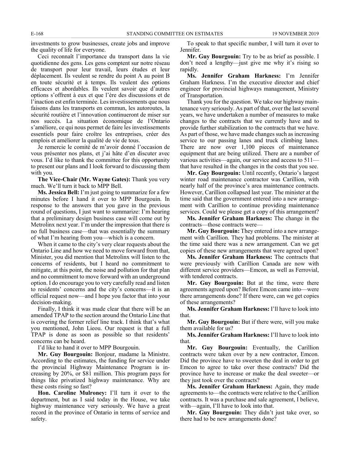investments to grow businesses, create jobs and improve the quality of life for everyone.

Ceci reconnaît l'importance du transport dans la vie quotidienne des gens. Les gens comptent sur notre réseau de transport pour leur travail, leurs études et leur déplacement. Ils veulent se rendre du point A au point B en toute sécurité et à temps. Ils veulent des options efficaces et abordables. Ils veulent savoir que d'autres options s'offrent à eux et que l'ère des discussions et de l'inaction est enfin terminée. Les investissements que nous faisons dans les transports en commun, les autoroutes, la sécurité routière et l'innovation continueront de miser sur nos succès. La situation économique de l'Ontario s'améliore, ce qui nous permet de faire les investissements essentiels pour faire croître les entreprises, créer des emplois et améliorer la qualité de vie de tous.

Je remercie le comité de m'avoir donné l'occasion de vous présenter nos plans, et j'ai hâte d'en discuter avec vous. I'd like to thank the committee for this opportunity to present our plans and I look forward to discussing them with you.

**The Vice-Chair (Mr. Wayne Gates):** Thank you very much. We'll turn it back to MPP Bell.

**Ms. Jessica Bell:** I'm just going to summarize for a few minutes before I hand it over to MPP Bourgouin. In response to the answers that you gave in the previous round of questions, I just want to summarize: I'm hearing that a preliminary design business case will come out by Metrolinx next year. I'm under the impression that there is no full business case—that was essentially the summary of what I'm hearing from you—which is a concern.

When it came to the city's very clear requests about the Ontario Line and how we need to move forward from that, Minister, you did mention that Metrolinx will listen to the concerns of residents, but I heard no commitment to mitigate, at this point, the noise and pollution for that plan and no commitment to move forward with an underground option. I do encourage you to very carefully read and listen to residents' concerns and the city's concerns—it is an official request now—and I hope you factor that into your decision-making.

Finally, I think it was made clear that there will be an amended TPAP to the section around the Ontario Line that is covering the former relief line track. I think that's what you mentioned, John Lieou. Our request is that a full TPAP is done as soon as possible so that residents' concerns can be heard.

I'd like to hand it over to MPP Bourgouin.

**Mr. Guy Bourgouin:** Bonjour, madame la Ministre. According to the estimates, the funding for service under the provincial Highway Maintenance Program is increasing by 20%, or \$81 million. This program pays for things like privatized highway maintenance. Why are these costs rising so fast?

**Hon. Caroline Mulroney:** I'll turn it over to the department, but as I said today in the House, we take highway maintenance very seriously. We have a great record in the province of Ontario in terms of service and safety.

To speak to that specific number, I will turn it over to Jennifer.

**Mr. Guy Bourgouin:** Try to be as brief as possible. I don't need a lengthy—just give me why it's rising so rapidly.

**Ms. Jennifer Graham Harkness:** I'm Jennifer Graham Harkness. I'm the executive director and chief engineer for provincial highways management, Ministry of Transportation.

Thank you for the question. We take our highway maintenance very seriously. As part of that, over the last several years, we have undertaken a number of measures to make changes to the contracts that we currently have and to provide further stabilization to the contracts that we have. As part of those, we have made changes such as increasing service to our passing lanes and truck climbing lanes. There are now over 1,100 pieces of maintenance equipment that are being utilized. There are a number of various activities—again, our service and access to 511 that have resulted in the changes in the costs that you see.

**Mr. Guy Bourgouin:** Until recently, Ontario's largest winter road maintenance contractor was Carillion, with nearly half of the province's area maintenance contracts. However, Carillion collapsed last year. The minister at the time said that the government entered into a new arrangement with Carillion to continue providing maintenance services. Could we please get a copy of this arrangement?

**Ms. Jennifer Graham Harkness:** The change in the contracts—those contracts were—

**Mr. Guy Bourgouin:** They entered into a new arrangement with Carillion. They had problems. The minister at the time said there was a new arrangement. Can we get copies of these new arrangements that were agreed upon?

**Ms. Jennifer Graham Harkness:** The contracts that were previously with Carillion Canada are now with different service providers—Emcon, as well as Ferrovial, with tendered contracts.

**Mr. Guy Bourgouin:** But at the time, were there agreements agreed upon? Before Emcon came into—were there arrangements done? If there were, can we get copies of these arrangements?

**Ms. Jennifer Graham Harkness:** I'll have to look into that.

**Mr. Guy Bourgouin:** But if there were, will you make them available for us?

**Ms. Jennifer Graham Harkness:** I'll have to look into that.

**Mr. Guy Bourgouin:** Eventually, the Carillion contracts were taken over by a new contractor, Emcon. Did the province have to sweeten the deal in order to get Emcon to agree to take over these contracts? Did the province have to increase or make the deal sweeter—or they just took over the contracts?

**Ms. Jennifer Graham Harkness:** Again, they made agreements to—the contracts were relative to the Carillion contracts. It was a purchase and sale agreement, I believe, with—again, I'll have to look into that.

**Mr. Guy Bourgouin:** They didn't just take over, so there had to be new arrangements done?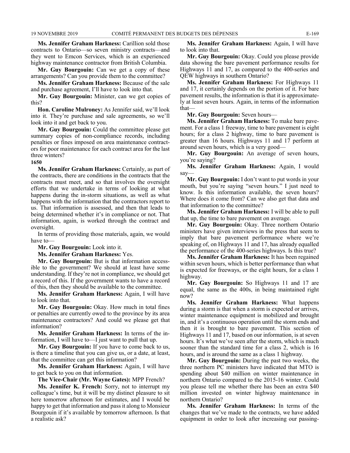**Ms. Jennifer Graham Harkness:** Carillion sold those contracts to Ontario—so seven ministry contracts—and they went to Emcon Services, which is an experienced highway maintenance contractor from British Columbia.

**Mr. Guy Bourgouin:** Can we get a copy of these arrangements? Can you provide them to the committee?

**Ms. Jennifer Graham Harkness:** Because of the sale and purchase agreement, I'll have to look into that.

**Mr. Guy Bourgouin:** Minister, can we get copies of this?

**Hon. Caroline Mulroney:** As Jennifer said, we'll look into it. They're purchase and sale agreements, so we'll look into it and get back to you.

**Mr. Guy Bourgouin:** Could the committee please get summary copies of non-compliance records, including penalties or fines imposed on area maintenance contractors for poor maintenance for each contract area for the last three winters?

**1650**

**Ms. Jennifer Graham Harkness:** Certainly, as part of the contracts, there are conditions in the contracts that the contracts must meet, and so that involves the oversight efforts that we undertake in terms of looking at what happens during the in-storm situations, as well as what happens with the information that the contractors report to us. That information is assessed, and then that leads to being determined whether it's in compliance or not. That information, again, is worked through the contract and oversight.

In terms of providing those materials, again, we would have to—

**Mr. Guy Bourgouin:** Look into it.

**Ms. Jennifer Graham Harkness:** Yes.

**Mr. Guy Bourgouin:** But is that information accessible to the government? We should at least have some understanding. If they're not in compliance, we should get a record of this. If the government wants to have a record of this, then they should be available to the committee.

**Ms. Jennifer Graham Harkness:** Again, I will have to look into that.

**Mr. Guy Bourgouin:** Okay. How much in total fines or penalties are currently owed to the province by its area maintenance contractors? And could we please get that information?

**Ms. Jennifer Graham Harkness:** In terms of the information, I will have to—I just want to pull that up.

**Mr. Guy Bourgouin:** If you have to come back to us, is there a timeline that you can give us, or a date, at least, that the committee can get this information?

**Ms. Jennifer Graham Harkness:** Again, I will have to get back to you on that information.

**The Vice-Chair (Mr. Wayne Gates):** MPP French?

**Ms. Jennifer K. French:** Sorry, not to interrupt my colleague's time, but it will be my distinct pleasure to sit here tomorrow afternoon for estimates, and I would be happy to get that information and pass it along to Monsieur Bourgouin if it's available by tomorrow afternoon. Is that a realistic ask?

**Ms. Jennifer Graham Harkness:** Again, I will have to look into that.

**Mr. Guy Bourgouin:** Okay. Could you please provide data showing the bare pavement performance results for Highways 11 and 17, as compared to the 400-series and QEW highways in southern Ontario?

**Ms. Jennifer Graham Harkness:** For Highways 11 and 17, it certainly depends on the portion of it. For bare pavement results, the information is that it is approximately at least seven hours. Again, in terms of the information that—

**Mr. Guy Bourgouin:** Seven hours—

**Ms. Jennifer Graham Harkness:** To make bare pavement. For a class 1 freeway, time to bare pavement is eight hours; for a class 2 highway, time to bare pavement is greater than 16 hours. Highways 11 and 17 perform at around seven hours, which is a very good—

**Mr. Guy Bourgouin:** An average of seven hours, you're saying?

**Ms. Jennifer Graham Harkness:** Again, I would say—

**Mr. Guy Bourgouin:** I don't want to put words in your mouth, but you're saying "seven hours." I just need to know. Is this information available, the seven hours? Where does it come from? Can we also get that data and that information to the committee?

**Ms. Jennifer Graham Harkness:** I will be able to pull that up, the time to bare pavement on average.

**Mr. Guy Bourgouin:** Okay. Three northern Ontario ministers have given interviews in the press that seem to imply that bare pavement performance where we're speaking of, on Highways 11 and 17, has already equalled the performance of the 400-series highways. Is this true?

**Ms. Jennifer Graham Harkness:** It has been regained within seven hours, which is better performance than what is expected for freeways, or the eight hours, for a class 1 highway.

**Mr. Guy Bourgouin:** So Highways 11 and 17 are equal, the same as the 400s, in being maintained right now?

**Ms. Jennifer Graham Harkness:** What happens during a storm is that when a storm is expected or arrives, winter maintenance equipment is mobilized and brought in, and it's a continuous operation until the storm ends and then it is brought to bare pavement. This section of Highways 11 and 17, based on our information, is at seven hours. It's what we've seen after the storm, which is much sooner than the standard time for a class 2, which is 16 hours, and is around the same as a class 1 highway.

**Mr. Guy Bourgouin:** During the past two weeks, the three northern PC ministers have indicated that MTO is spending about \$40 million on winter maintenance in northern Ontario compared to the 2015-16 winter. Could you please tell me whether there has been an extra \$40 million invested on winter highway maintenance in northern Ontario?

**Ms. Jennifer Graham Harkness:** In terms of the changes that we've made to the contracts, we have added equipment in order to look after increasing our passing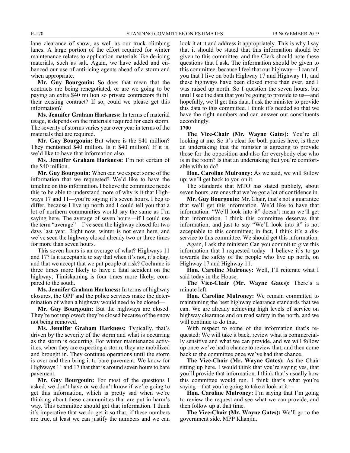lane clearance of snow, as well as our truck climbing lanes. A large portion of the effort required for winter maintenance relates to application materials like de-icing materials, such as salt. Again, we have added and enhanced our use of anti-icing agents ahead of a storm and when appropriate.

**Mr. Guy Bourgouin:** So does that mean that the contracts are being renegotiated, or are we going to be paying an extra \$40 million so private contractors fulfill their existing contract? If so, could we please get this information?

**Ms. Jennifer Graham Harkness:** In terms of material usage, it depends on the materials required for each storm. The severity of storms varies year over year in terms of the materials that are required.

**Mr. Guy Bourgouin:** But where is the \$40 million? They mentioned \$40 million. Is it \$40 million? If it is, we'd like to have that information also.

**Ms. Jennifer Graham Harkness:** I'm not certain of the \$40 million.

**Mr. Guy Bourgouin:** When can we expect some of the information that we requested? We'd like to have the timeline on this information. I believe the committee needs this to be able to understand more of why is it that Highways 17 and 11—you're saying it's seven hours. I beg to differ, because I live up north and I could tell you that a lot of northern communities would say the same as I'm saying here. The average of seven hours—if I could use the term "average"—I've seen the highway closed for two days last year. Right now, winter is not even here, and we've seen the highway closed already two or three times for more than seven hours.

This seven hours is an average of what? Highways 11 and 17? Is it acceptable to say that when it's not, it's okay, and that we accept that we put people at risk? Cochrane is three times more likely to have a fatal accident on the highway; Timiskaming is four times more likely, compared to the south.

**Ms. Jennifer Graham Harkness:** In terms of highway closures, the OPP and the police services make the determination of when a highway would need to be closed—

**Mr. Guy Bourgouin:** But the highways are closed. They're not unplowed; they're closed because of the snow not being removed.

**Ms. Jennifer Graham Harkness:** Typically, that's driven by the severity of the storm and what is occurring as the storm is occurring. For winter maintenance activities, when they are expecting a storm, they are mobilized and brought in. They continue operations until the storm is over and then bring it to bare pavement. We know for Highways 11 and 17 that that is around seven hours to bare pavement.

**Mr. Guy Bourgouin:** For most of the questions I asked, we don't have or we don't know if we're going to get this information, which is pretty sad when we're thinking about these communities that are put in harm's way. This committee should get that information. I think it's imperative that we do get it so that, if these numbers are true, at least we can justify the numbers and we can look it at it and address it appropriately. This is why I say that it should be stated that this information should be given to this committee, and the Clerk should note these questions that I ask. The information should be given to this committee, because I feel that our highway—I can tell you that I live on both Highway 17 and Highway 11, and these highways have been closed more than ever, and I was raised up north. So I question the seven hours, but until I see the data that you're going to provide to us—and hopefully, we'll get this data. I ask the minister to provide this data to this committee. I think it's needed so that we have the right numbers and can answer our constituents accordingly.



**The Vice-Chair (Mr. Wayne Gates):** You're all looking at me. So it's clear for both parties here, is there an undertaking that the minister is agreeing to provide those for the opposition and also for everybody else who is in the room? Is that an undertaking that you're comfortable with to do?

**Hon. Caroline Mulroney:** As we said, we will follow up; we'll get back to you on it.

The standards that MTO has stated publicly, about seven hours, are ones that we've got a lot of confidence in.

**Mr. Guy Bourgouin:** Mr. Chair, that's not a guarantee that we'll get this information. We'd like to have that information. "We'll look into it" doesn't mean we'll get that information. I think this committee deserves that information, and just to say "We'll look into it" is not acceptable to this committee; in fact, I think it's a disservice to this committee. We should get this information.

Again, I ask the minister: Can you commit to give this information that I requested today—I believe it's to go towards the safety of the people who live up north, on Highway 17 and Highway 11.

**Hon. Caroline Mulroney:** Well, I'll reiterate what I said today in the House.

**The Vice-Chair (Mr. Wayne Gates):** There's a minute left.

**Hon. Caroline Mulroney:** We remain committed to maintaining the best highway clearance standards that we can. We are already achieving high levels of service on highway clearance and on road safety in the north, and we will continue to do that.

With respect to some of the information that's requested: We will take it back, review what is commercially sensitive and what we can provide, and we will follow up once we've had a chance to review that, and then come back to the committee once we've had that chance.

**The Vice-Chair (Mr. Wayne Gates):** As the Chair sitting up here, I would think that you're saying yes, that you'll provide that information. I think that's usually how this committee would run. I think that's what you're saying—that you're going to take a look at it—

**Hon. Caroline Mulroney:** I'm saying that I'm going to review the request and see what we can provide, and then follow up at that time.

**The Vice-Chair (Mr. Wayne Gates):** We'll go to the government side. MPP Khanjin.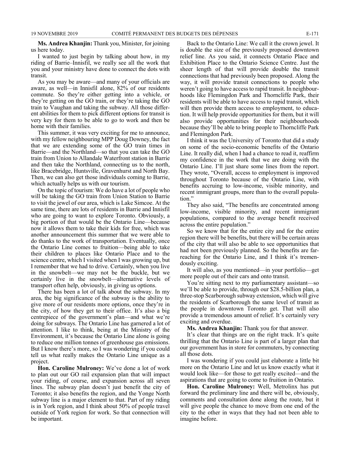**Ms. Andrea Khanjin:** Thank you, Minister, for joining us here today.

I wanted to just begin by talking about how, in my riding of Barrie–Innisfil, we really see all the work that you and your ministry have done to connect the dots with transit.

As you may be aware—and many of your officials are aware, as well—in Innisfil alone, 82% of our residents commute. So they're either getting into a vehicle, or they're getting on the GO train, or they're taking the GO train to Vaughan and taking the subway. All those different abilities for them to pick different options for transit is very key for them to be able to go to work and then be home with their families.

This summer, it was very exciting for me to announce, with my fellow neighbouring MPP Doug Downey, the fact that we are extending some of the GO train times in Barrie—and the Northland—so that you can take the GO train from Union to Allandale Waterfront station in Barrie and then take the Northland, connecting us to the north, like Bracebridge, Huntsville, Gravenhurst and North Bay. Then, we can also get those individuals coming to Barrie, which actually helps us with our tourism.

On the topic of tourism: We do have a lot of people who will be taking the GO train from Union Station to Barrie to visit the jewel of our area, which is Lake Simcoe. At the same time, there are lots of residents in Barrie and Innisfil who are going to want to explore Toronto. Obviously, a big portion of that would be the Ontario Line—because now it allows them to take their kids for free, which was another announcement this summer that we were able to do thanks to the work of transportation. Eventually, once the Ontario Line comes to fruition—being able to take their children to places like Ontario Place and to the science centre, which I visited when I was growing up, but I remember that we had to drive. Certainly, when you live in the snowbelt—we may not be the buckle, but we certainly live in the snowbelt—alternative levels of transport often help, obviously, in giving us options.

There has been a lot of talk about the subway. In my area, the big significance of the subway is the ability to give more of our residents more options, once they're in the city, of how they get to their office. It's also a big centrepiece of the government's plan—and what we're doing for subways. The Ontario Line has garnered a lot of attention. I like to think, being at the Ministry of the Environment, it's because the Ontario Line alone is going to reduce one million tonnes of greenhouse gas emissions. But I know there's more, so I was wondering if you could tell us what really makes the Ontario Line unique as a project.

**Hon. Caroline Mulroney:** We've done a lot of work to plan out our GO rail expansion plan that will impact your riding, of course, and expansion across all seven lines. The subway plan doesn't just benefit the city of Toronto; it also benefits the region, and the Yonge North subway line is a major element to that. Part of my riding is in York region, and I think about 50% of people travel outside of York region for work. So that connection will be important.

Back to the Ontario Line: We call it the crown jewel. It is double the size of the previously proposed downtown relief line. As you said, it connects Ontario Place and Exhibition Place to the Ontario Science Centre. Just the sheer length of that will provide double the transit connections that had previously been proposed. Along the way, it will provide transit connections to people who weren't going to have access to rapid transit. In neighbourhoods like Flemingdon Park and Thorncliffe Park, their residents will be able to have access to rapid transit, which will then provide them access to employment, to education. It will help provide opportunities for them, but it will also provide opportunities for their neighbourhoods because they'll be able to bring people to Thorncliffe Park and Flemingdon Park.

I think it was the University of Toronto that did a study on some of the socio-economic benefits of the Ontario Line. It really did, when I had a chance to read it, reaffirm my confidence in the work that we are doing with the Ontario Line. I'll just share some lines from the report. They wrote, "Overall, access to employment is improved throughout Toronto because of the Ontario Line, with benefits accruing to low-income, visible minority, and recent immigrant groups, more than to the overall population."

They also said, "The benefits are concentrated among low-income, visible minority, and recent immigrant populations, compared to the average benefit received across the entire population."

So we know that for the entire city and for the entire region there will be benefits, but there will be certain areas of the city that will also be able to see opportunities that had not been previously planned. So the benefits are farreaching for the Ontario Line, and I think it's tremendously exciting.

It will also, as you mentioned—in your portfolio—get more people out of their cars and onto transit.

You're sitting next to my parliamentary assistant—so we'll be able to provide, through our \$28.5-billion plan, a three-stop Scarborough subway extension, which will give the residents of Scarborough the same level of transit as the people in downtown Toronto get. That will also provide a tremendous amount of relief. It's certainly very exciting and overdue.

**Ms. Andrea Khanjin:** Thank you for that answer.

It's clear that things are on the right track. It's quite thrilling that the Ontario Line is part of a larger plan that our government has in store for commuters, by connecting all those dots.

I was wondering if you could just elaborate a little bit more on the Ontario Line and let us know exactly what it would look like—for those to get really excited—and the aspirations that are going to come to fruition in Ontario.

**Hon. Caroline Mulroney:** Well, Metrolinx has put forward the preliminary line and there will be, obviously, comments and consultation done along the route, but it will give people the chance to move from one end of the city to the other in ways that they had not been able to imagine before.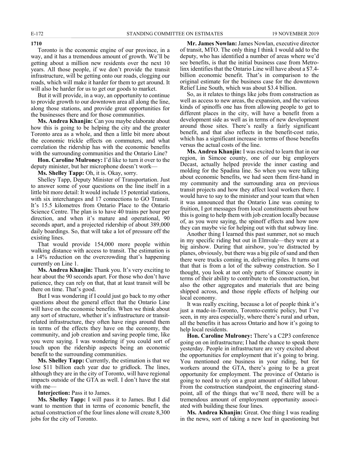**1710**

Toronto is the economic engine of our province, in a way, and it has a tremendous amount of growth. We'll be getting about a million new residents over the next 10 years. All those people, if we don't provide the transit infrastructure, will be getting onto our roads, clogging our roads, which will make it harder for them to get around. It will also be harder for us to get our goods to market.

But it will provide, in a way, an opportunity to continue to provide growth to our downtown area all along the line, along those stations, and provide great opportunities for the businesses there and for those communities.

**Ms. Andrea Khanjin:** Can you maybe elaborate about how this is going to be helping the city and the greater Toronto area as a whole, and then a little bit more about the economic trickle effects on commuters, and what correlation the ridership has with the economic benefits with the surrounding communities and the Ontario Line?

**Hon. Caroline Mulroney:** I'd like to turn it over to the deputy minister, but her microphone doesn't work—

**Ms. Shelley Tapp:** Oh, it is. Okay, sorry.

Shelley Tapp, Deputy Minister of Transportation. Just to answer some of your questions on the line itself in a little bit more detail: It would include 15 potential stations, with six interchanges and 17 connections to GO Transit. It's 15.5 kilometres from Ontario Place to the Ontario Science Centre. The plan is to have 40 trains per hour per direction, and when it's mature and operational, 90 seconds apart, and a projected ridership of about 389,000 daily boardings. So, that will take a lot of pressure off the existing lines.

That would provide 154,000 more people within walking distance with access to transit. The estimation is a 14% reduction on the overcrowding that's happening currently on Line 1.

**Ms. Andrea Khanjin:** Thank you. It's very exciting to hear about the 90 seconds apart. For those who don't have patience, they can rely on that, that at least transit will be there on time. That's good.

But I was wondering if I could just go back to my other questions about the general effect that the Ontario Line will have on the economic benefits. When we think about any sort of structure, whether it's infrastructure or transitrelated infrastructure, they often have rings around them in terms of the effects they have on the economy, the community, and job creation and saving people time, like you were saying. I was wondering if you could sort of touch upon the ridership aspects being an economic benefit to the surrounding communities.

**Ms. Shelley Tapp:** Currently, the estimation is that we lose \$11 billion each year due to gridlock. The lines, although they are in the city of Toronto, will have regional impacts outside of the GTA as well. I don't have the stat with me—

**Interjection:** Pass it to James.

**Ms. Shelley Tapp:** I will pass it to James. But I did want to mention that in terms of economic benefit, the actual construction of the four lines alone will create 8,300 jobs for the city of Toronto.

**Mr. James Nowlan:** James Nowlan, executive director of transit, MTO. The only thing I think I would add to the deputy, who has identified a number of areas where we'd see benefits, is that the initial business case from Metrolinx identifies that the Ontario Line will have about a \$7.4 billion economic benefit. That's in comparison to the original estimate for the business case for the downtown Relief Line South, which was about \$3.4 billion.

So, as it relates to things like jobs from construction as well as access to new areas, the expansion, and the various kinds of spinoffs one has from allowing people to get to different places in the city, will have a benefit from a development side as well as in terms of new development around those sites. There's really a fairly significant benefit, and that also reflects in the benefit-cost ratio, which has a significant increase in terms of those benefits versus the actual costs of the line.

**Ms. Andrea Khanjin:** I was excited to learn that in our region, in Simcoe county, one of our big employers Decast, actually helped provide the inner casting and molding for the Spadina line. So when you were talking about economic benefits, we had seen them first-hand in my community and the surrounding area on previous transit projects and how they affect local workers there. I would have to say to the minister and your team that when it was announced that the Ontario Line was coming to fruition, I got messages from local constituents about how this is going to help them with job creation locally because of, as you were saying, the spinoff effects and how now they can maybe vie for helping out with that subway line.

Another thing I learned this past summer, not so much in my specific riding but out in Elmvale—they were at a big airshow. During that airshow, you're distracted by planes, obviously, but there was a big pile of sand and then there were trucks coming in, delivering piles. It turns out that that is from a lot of the subway construction. So I thought, you look at not only parts of Simcoe county in terms of their ability to contribute to the construction, but also the other aggregates and materials that are being shipped across, and those ripple effects of helping our local economy.

It was really exciting, because a lot of people think it's just a made-in-Toronto, Toronto-centric policy, but I've seen, in my area especially, where there's rural and urban, all the benefits it has across Ontario and how it's going to help local residents.

**Hon. Caroline Mulroney:** There's a C2P3 conference going on on infrastructure; I had the chance to speak there yesterday. People in infrastructure are very excited about the opportunities for employment that it's going to bring. You mentioned one business in your riding, but for workers around the GTA, there's going to be a great opportunity for employment. The province of Ontario is going to need to rely on a great amount of skilled labour. From the construction standpoint, the engineering standpoint, all of the things that we'll need, there will be a tremendous amount of employment opportunity associated with building these four lines.

**Ms. Andrea Khanjin:** Great. One thing I was reading in the news, sort of taking a new leaf in questioning but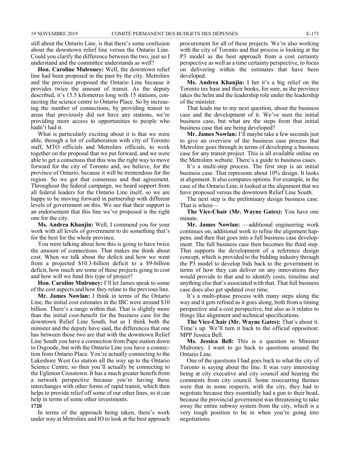still about the Ontario Line, is that there's some confusion about the downtown relief line versus the Ontario Line. Could you clarify the difference between the two, just so I understand and the committee understands as well?

**Hon. Caroline Mulroney:** Well, the downtown relief line had been proposed in the past by the city. Metrolinx and the province proposed the Ontario Line because it provides twice the amount of transit. As the deputy described, it's 15.5 kilometres long with 15 stations, connecting the science centre to Ontario Place. So by increasing the number of connections, by providing transit to areas that previously did not have any stations, we're providing more access to opportunities to people who hadn't had it.

What is particularly exciting about it is that we were able, through a lot of collaboration with city of Toronto staff, MTO officials and Metrolinx officials, to work together on the proposal that we put forward, and we were able to get a consensus that this was the right way to move forward for the city of Toronto and, we believe, for the province of Ontario, because it will be tremendous for the region. So we got that consensus and that agreement. Throughout the federal campaign, we heard support from all federal leaders for the Ontario Line itself, so we are happy to be moving forward in partnership with different levels of government on this. We see that their support is an endorsement that this line we've proposed is the right one for the city.

**Ms. Andrea Khanjin:** Well, I commend you for your work with all levels of government to do something that's for the best for the whole province.

You were talking about how this is going to have twice the amount of connections. That makes me think about cost. When we talk about the deficit and how we went from a projected \$10.3-billion deficit to a \$9-billion deficit, how much are some of these projects going to cost and how will we fund this type of project?

**Hon. Caroline Mulroney:** I'll let James speak to some of the cost aspects and how they relate to the previous line.

**Mr. James Nowlan:** I think in terms of the Ontario Line, the initial cost estimates in the IBC were around \$10 billion. There's a range within that. That is slightly more than the initial cost-benefit for the business case for the downtown Relief Line South, but as I think both the minister and the deputy have said, the differences that one has between those two are that with the downtown Relief Line South you have a connection from Pape station down to Osgoode, but with the Ontario Line you have a connection from Ontario Place. You're actually connecting to the Lakeshore West Go station all the way up to the Ontario Science Centre, so then you'll actually be connecting to the Eglinton Crosstown. It has a much greater benefit from a network perspective because you're having these interchanges with other forms of rapid transit, which then helps to provide relief off some of our other lines, so it can help in terms of some other investments.

#### **1720**

In terms of the approach being taken, there's work under way at Metrolinx and IO to look at the best approach procurement for all of these projects. We're also working with the city of Toronto and that process is looking at the P3 model as the best approach from a cost certainty perspective as well as a time certainty perspective, to focus on delivering within the estimates that have been developed.

**Ms. Andrea Khanjin:** I bet it's a big relief on the Toronto tax base and their books, for sure, as the province takes the helm and the leadership role under the leadership of the minister.

That leads me to my next question, about the business case and the development of it. We've seen the initial business case, but what are the steps from that initial business case that are being developed?

**Mr. James Nowlan:** I'll maybe take a few seconds just to give an overview of the business case process that Metrolinx goes through in terms of developing a business case for any transit project. This is all available online on the Metrolinx website. There's a guide to business cases.

It's a multi-step process. The first step is an initial business case. That represents about 10% design. It looks at alignment. It also compares options. For example, in the case of the Ontario Line, it looked at the alignment that we have proposed versus the downtown Relief Line South.

The next step is the preliminary design business case. That is where—

**The Vice-Chair (Mr. Wayne Gates):** You have one minute.

**Mr. James Nowlan:** —additional engineering work continues on, additional work to refine the alignment happens, and then that goes into a full business case development. The full business case then becomes the third step. That supports the development of a reference design concept, which is provided to the bidding industry through the P3 model to develop bids back to the government in terms of how they can deliver on any innovations they would provide to that and to identify costs, timeline and anything else that's associated with that. That full business case does also get updated over time.

It's a multi-phase process with many steps along the way and it gets refined as it goes along, both from a timing perspective and a cost perspective, but also as it relates to things like alignment and technical specifications.

**The Vice-Chair (Mr. Wayne Gates):** That's about it. Time's up. We'll turn it back to the official opposition: MPP Jessica Bell.

**Ms. Jessica Bell:** This is a question to Minister Mulroney. I want to go back to questions around the Ontario Line.

One of the questions I had goes back to what the city of Toronto is saying about the line. It was very interesting being at city executive and city council and hearing the comments from city council. Some reoccurring themes were that in some respects, with the city, they had to negotiate because they essentially had a gun to their head, because the provincial government was threatening to take away the entire subway system from the city, which is a very tough position to be in when you're going into negotiations.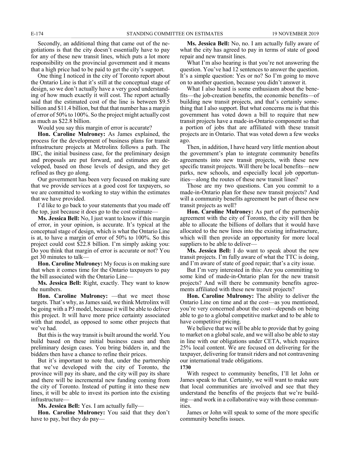Secondly, an additional thing that came out of the negotiations is that the city doesn't essentially have to pay for any of these new transit lines, which puts a lot more responsibility on the provincial government and it means that a high price had to be paid to get the city's support.

One thing I noticed in the city of Toronto report about the Ontario Line is that it's still at the conceptual stage of design, so we don't actually have a very good understanding of how much exactly it will cost. The report actually said that the estimated cost of the line is between \$9.5 billion and \$11.4 billion, but that that number has a margin of error of 50% to 100%. So the project might actually cost as much as \$22.8 billion.

Would you say this margin of error is accurate?

**Hon. Caroline Mulroney:** As James explained, the process for the development of business plans for transit infrastructure projects at Metrolinx follows a path. The IBC, the initial business case, for the preliminary design and proposals are put forward, and estimates are developed, based on those levels of design, and they get refined as they go along.

Our government has been very focused on making sure that we provide services at a good cost for taxpayers, so we are committed to working to stay within the estimates that we have provided.

I'd like to go back to your statements that you made off the top, just because it does go to the cost estimate—

**Ms. Jessica Bell:** No, I just want to know if this margin of error, in your opinion, is accurate. It's typical at the conceptual stage of design, which is what the Ontario Line is at, to have a margin of error of 50% to 100%. So this project could cost \$22.8 billion. I'm simply asking you: Do you think that margin of error is accurate or not? You get 30 minutes to talk—

**Hon. Caroline Mulroney:** My focus is on making sure that when it comes time for the Ontario taxpayers to pay the bill associated with the Ontario Line—

**Ms. Jessica Bell:** Right, exactly. They want to know the numbers.

**Hon. Caroline Mulroney:** —that we meet those targets. That's why, as James said, we think Metrolinx will be going with a P3 model, because it will be able to deliver this project. It will have more price certainty associated with that model, as opposed to some other projects that we've had.

But this is the way transit is built around the world. You build based on these initial business cases and then preliminary design cases. You bring bidders in, and the bidders then have a chance to refine their prices.

But it's important to note that, under the partnership that we've developed with the city of Toronto, the province will pay its share, and the city will pay its share and there will be incremental new funding coming from the city of Toronto. Instead of putting it into these new lines, it will be able to invest its portion into the existing infrastructure—

**Ms. Jessica Bell:** Yes. I am actually fully—

**Hon. Caroline Mulroney:** You said that they don't have to pay, but they do pay—

**Ms. Jessica Bell:** No, no. I am actually fully aware of what the city has agreed to pay in terms of state of good repair and new transit lines.

What I'm also hearing is that you're not answering the question. You've had 12 sentences to answer the question. It's a simple question: Yes or no? So I'm going to move on to another question, because you didn't answer it.

What I also heard is some enthusiasm about the benefits—the job-creation benefits, the economic benefits—of building new transit projects, and that's certainly something that I also support. But what concerns me is that this government has voted down a bill to require that new transit projects have a made-in-Ontario component so that a portion of jobs that are affiliated with these transit projects are in Ontario. That was voted down a few weeks ago.

Then, in addition, I have heard very little mention about the government's plan to integrate community benefits agreements into new transit projects, with these new specific transit projects. Will there be local benefits—new parks, new schools, and especially local job opportunities—along the routes of these new transit lines?

Those are my two questions. Can you commit to a made-in-Ontario plan for these new transit projects? And will a community benefits agreement be part of these new transit projects as well?

**Hon. Caroline Mulroney:** As part of the partnership agreement with the city of Toronto, the city will then be able to allocate the billions of dollars that it would have allocated to the new lines into the existing infrastructure, which will then provide an opportunity for more local suppliers to be able to deliver—

**Ms. Jessica Bell:** I do want to speak about the new transit projects. I'm fully aware of what the TTC is doing, and I'm aware of state of good repair; that's a city issue.

But I'm very interested in this: Are you committing to some kind of made-in-Ontario plan for the new transit projects? And will there be community benefits agreements affiliated with these new transit projects?

**Hon. Caroline Mulroney:** The ability to deliver the Ontario Line on time and at the cost—as you mentioned, you're very concerned about the cost—depends on being able to go to a global competitive market and to be able to have competitive pricing.

We believe that we will be able to provide that by going to market on a global scale, and we will also be able to stay in line with our obligations under CETA, which requires 25% local content. We are focused on delivering for the taxpayer, delivering for transit riders and not contravening our international trade obligations.

**1730**

With respect to community benefits, I'll let John or James speak to that. Certainly, we will want to make sure that local communities are involved and see that they understand the benefits of the projects that we're building—and work in a collaborative way with those communities.

James or John will speak to some of the more specific community benefits issues.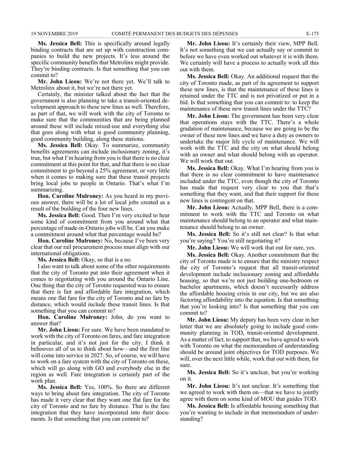**Ms. Jessica Bell:** This is specifically around legally binding contracts that are set up with construction companies to build the new projects. It's less around the specific community benefits that Metrolinx might provide. They're binding contracts. Is that something that you can commit to?

**Mr. John Lieou:** We're not there yet. We'll talk to Metrolinx about it, but we're not there yet.

Certainly, the minister talked about the fact that the government is also planning to take a transit-oriented development approach to these new lines as well. Therefore, as part of that, we will work with the city of Toronto to make sure that the communities that are being planned around these will include mixed-use and everything else that goes along with what is good community planning, good community building, along these stations.

**Ms. Jessica Bell:** Okay. To summarize, community benefits agreements can include inclusionary zoning, it's true, but what I'm hearing from you is that there is no clear commitment at this point for that, and that there is no clear commitment to go beyond a 25% agreement, or very little when it comes to making sure that these transit projects bring local jobs to people in Ontario. That's what I'm summarizing.

**Hon. Caroline Mulroney:** As you heard in my previous answer, there will be a lot of local jobs created as a result of the building of the four new lines.

**Ms. Jessica Bell:** Good. Then I'm very excited to hear some kind of commitment from you around what that percentage of made-in-Ontario jobs will be. Can you make a commitment around what that percentage would be?

**Hon. Caroline Mulroney:** No, because I've been very clear that our rail procurement process must align with our international obligations.

**Ms. Jessica Bell:** Okay, so that is a no.

I also want to talk about some of the other requirements that the city of Toronto put into their agreement when it comes to negotiating with you around the Ontario Line. One thing that the city of Toronto requested was to ensure that there is fair and affordable fare integration, which means one flat fare for the city of Toronto and no fare by distance, which would include these transit lines. Is that something that you can commit to?

**Hon. Caroline Mulroney:** John, do you want to answer that?

**Mr. John Lieou:** For sure. We have been mandated to work with the city of Toronto on fares, and fare integration in particular, and it's not just for the city. I think it behooves all of us to think about how—and the first line will come into service in 2027. So, of course, we will have to work on a fare system with the city of Toronto on these, which will go along with GO and everybody else in the region as well. Fare integration is certainly part of the work plan.

**Ms. Jessica Bell:** Yes, 100%. So there are different ways to bring about fare integration. The city of Toronto has made it very clear that they want one flat fare for the city of Toronto and no fare by distance. That is the fare integration that they have incorporated into their documents. Is that something that you can commit to?

**Mr. John Lieou:** It's certainly their view, MPP Bell. It's not something that we can actually say or commit to before we have even worked out whatever it is with them. We certainly will have a process to actually work all this out with them.

**Ms. Jessica Bell:** Okay. An additional request that the city of Toronto made, as part of its agreement to support these new lines, is that the maintenance of these lines is retained under the TTC and is not privatized or put in a bid. Is that something that you can commit to: to keep the maintenance of these new transit lines under the TTC?

**Mr. John Lieou:** The government has been very clear that operations stays with the TTC. There's a whole gradation of maintenance, because we are going to be the owner of these new lines and we have a duty as owners to undertake the major life cycle of maintenance. We will work with the TTC and the city on what should belong with an owner and what should belong with an operator. We will work that out.

**Ms. Jessica Bell:** Okay. What I'm hearing from you is that there is no clear commitment to have maintenance included under the TTC, even though the city of Toronto has made that request very clear to you that that's something that they want, and that their support for these new lines is contingent on that.

**Mr. John Lieou:** Actually, MPP Bell, there is a commitment to work with the TTC and Toronto on what maintenance should belong to an operator and what maintenance should belong to an owner.

**Ms. Jessica Bell:** So it's still not clear? Is that what you're saying? You're still negotiating it?

**Mr. John Lieou:** We will work that out for sure, yes.

**Ms. Jessica Bell:** Okay. Another commitment that the city of Toronto made is to ensure that the ministry respect the city of Toronto's request that all transit-oriented development include inclusionary zoning and affordable housing, so that we're not just building one-bedroom or bachelor apartments, which doesn't necessarily address the affordable housing crisis in our city, but we are also factoring affordability into the equation. Is that something that you're looking into? Is that something that you can commit to?

**Mr. John Lieou:** My deputy has been very clear in her letter that we are absolutely going to include good community planning in TOD, transit-oriented development. As a matter of fact, to support that, we have agreed to work with Toronto on what the memorandum of understanding should be around joint objectives for TOD purposes. We will, over the next little while, work that out with them, for sure.

**Ms. Jessica Bell:** So it's unclear, but you're working on it.

**Mr. John Lieou:** It's not unclear. It's something that we agreed to work with them on—that we have to jointly agree with them on some kind of MOU that guides TOD.

**Ms. Jessica Bell:** Is affordable housing something that you're wanting to include in that memorandum of understanding?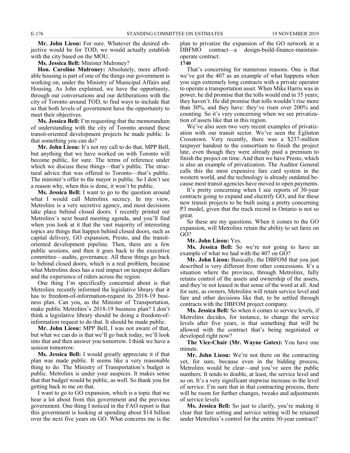**Mr. John Lieou:** For sure. Whatever the desired objective would be for TOD, we would actually establish with the city based on the MOU.

**Ms. Jessica Bell:** Minister Mulroney?

**Hon. Caroline Mulroney:** Absolutely, more affordable housing is part of one of the things our government is working on, under the Ministry of Municipal Affairs and Housing. As John explained, we have the opportunity, through our conversations and our deliberations with the city of Toronto around TOD, to find ways to include that so that both levels of government have the opportunity to meet their objectives.

**Ms. Jessica Bell:** I'm requesting that the memorandum of understanding with the city of Toronto around these transit-oriented development projects be made public. Is that something you can do?

**Mr. John Lieou:** It's not my call to do that, MPP Bell, but anything that we have worked on with Toronto will become public, for sure. The terms of reference under which we discuss these things—that's public. The structural advice that was offered to Toronto—that's public. The minister's offer to the mayor is public. So I don't see a reason why, when this is done, it won't be public.

**Ms. Jessica Bell:** I want to go to the question around what I would call Metrolinx secrecy. In my view, Metrolinx is a very secretive agency, and most decisions take place behind closed doors. I recently printed out Metrolinx's next board meeting agenda, and you'll find when you look at it that the vast majority of interesting topics are things that happen behind closed doors, such as capital delivery, GO expansion, Presto, and the transitoriented development pipeline. Then, there are a few public sessions, and then it goes back to the executive committee—audits, governance. All these things go back to behind closed doors, which is a real problem, because what Metrolinx does has a real impact on taxpayer dollars and the experience of riders across the region.

One thing I'm specifically concerned about is that Metrolinx recently informed the legislative library that it has to freedom-of-information-request its 2018-19 business plan. Can you, as the Minister of Transportation, make public Metrolinx's 2018-19 business plan? I don't think a legislative library should be doing a freedom-ofinformation request to do that. It should be made public.

**Mr. John Lieou:** MPP Bell, I was not aware of that, but what we can do is that we'll go back today, we'll look into that and then answer you tomorrow. I think we have a session tomorrow.

**Ms. Jessica Bell:** I would greatly appreciate it if that plan was made public. It seems like a very reasonable thing to do. The Ministry of Transportation's budget is public. Metrolinx is under your auspices. It makes sense that that budget would be public, as well. So thank you for getting back to me on that.

I want to go to GO expansion, which is a topic that we hear a lot about from this government and the previous government. One thing I noticed in the FAO report is that this government is looking at spending about \$14 billion over the next five years on GO. What concerns me is the

plan to privatize the expansion of the GO network in a DBFMO contract—a design-build-finance-maintainoperate contract.

**1740**

That's concerning for numerous reasons. One is that we've got the 407 as an example of what happens when you sign extremely long contracts with a private operator to operate a transportation asset. When Mike Harris was in power, he did promise that the tolls would end in 35 years; they haven't. He did promise that tolls wouldn't rise more than 30%, and they have: they've risen over 200% and counting. So it's very concerning when we see privatization of assets like that in this region.

We've also seen two very recent examples of privatization with our transit sector. We've seen the Eglinton Crosstown. Very recently, there was a \$237-million taxpayer handout to the consortium to finish the project late, even though they were already paid a premium to finish the project on time. And then we have Presto, which is also an example of privatization. The Auditor General calls this the most expensive fare card system in the western world, and the technology is already outdated because most transit agencies have moved to open payments.

It's pretty concerning when I see reports of 30-year contracts going to expand and electrify GO, and for these new transit projects to be built using a pretty concerning P3 model, given that the track record in Ontario is not so great.

So these are my questions. When it comes to the GO expansion, will Metrolinx retain the ability to set fares on GO?

**Mr. John Lieou:** Yes.

**Ms. Jessica Bell:** So we're not going to have an example of what we had with the 407 on GO?

**Mr. John Lieou:** Basically, the DBFOM that you just described is very different from other concessions. It's a situation where the province, through Metrolinx, fully retains control of the assets and ownership of the assets, and they're not leased in that sense of the word at all. And for sure, as owners, Metrolinx will retain service level and fare and other decisions like that, to be settled through contracts with the DBFOM project company.

**Ms. Jessica Bell:** So when it comes to service levels, if Metrolinx decides, for instance, to change the service levels after five years, is that something that will be allowed with the contract that's being negotiated or developed right now?

**The Vice-Chair (Mr. Wayne Gates):** You have one minute.

**Mr. John Lieou:** We're not there on the contracting yet, for sure, because even in the bidding process, Metrolinx would be clear—and you've seen the public numbers. It tends to double, at least, the service level and so on. It's a very significant stepwise increase in the level of service. I'm sure that in that contracting process, there will be room for further changes, tweaks and adjustments of service levels.

**Ms. Jessica Bell:** So just to clarify, you're making it clear that fare setting and service setting will be retained under Metrolinx's control for the entire 30-year contract?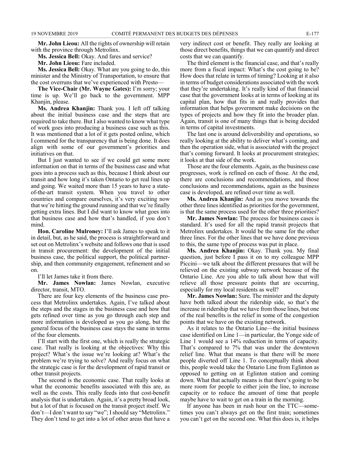**Mr. John Lieou:** All the rights of ownership will retain with the province through Metrolinx.

**Ms. Jessica Bell:** Okay. And fares and service?

**Mr. John Lieou:** Fare included.

**Ms. Jessica Bell:** Okay. What are you going to do, this minister and the Ministry of Transportation, to ensure that the cost overruns that we've experienced with Presto—

**The Vice-Chair (Mr. Wayne Gates):** I'm sorry; your time is up. We'll go back to the government. MPP Khanjin, please.

**Ms. Andrea Khanjin:** Thank you. I left off talking about the initial business case and the steps that are required to take there. But I also wanted to know what type of work goes into producing a business case such as this. It was mentioned that a lot of it gets posted online, which I commend for the transparency that is being done. It does align with some of our government's priorities and initiatives on that.

But I just wanted to see if we could get some more information on that in terms of the business case and what goes into a process such as this, because I think about our transit and how long it's taken Ontario to get real lines up and going. We waited more than 15 years to have a stateof-the-art transit system. When you travel to other countries and compare ourselves, it's very exciting now that we're hitting the ground running and that we're finally getting extra lines. But I did want to know what goes into that business case and how that's handled, if you don't mind.

**Hon. Caroline Mulroney:** I'll ask James to speak to it in detail, but, as he said, the process is straightforward and set out on Metrolinx's website and follows one that is used in transit procurement: the development of the initial business case, the political support, the political partnership, and then community engagement, refinement and so on.

I'll let James take it from there.

**Mr. James Nowlan:** James Nowlan, executive director, transit, MTO.

There are four key elements of the business case process that Metrolinx undertakes. Again, I've talked about the steps and the stages in the business case and how that gets refined over time as you go through each step and more information is developed as you go along, but the general focus of the business case stays the same in terms of the four elements.

I'll start with the first one, which is really the strategic case. That really is looking at the objectives: Why this project? What's the issue we're looking at? What's the problem we're trying to solve? And really focus on what the strategic case is for the development of rapid transit or other transit projects.

The second is the economic case. That really looks at what the economic benefits associated with this are, as well as the costs. This really feeds into that cost-benefit analysis that is undertaken. Again, it's a pretty broad look, but a lot of that is focused on the transit project itself. We don't—I don't want to say "we"; I should say "Metrolinx." They don't tend to get into a lot of other areas that have a

very indirect cost or benefit. They really are looking at those direct benefits, things that we can quantify and direct costs that we can quantify.

The third element is the financial case, and that's really more from a fiscal impact: What's the cost going to be? How does that relate in terms of timing? Looking at it also in terms of budget considerations associated with the work that they're undertaking. It's really kind of that financial case that the government looks at in terms of looking at its capital plan, how that fits in and really provides that information that helps government make decisions on the types of projects and how they fit into the broader plan. Again, transit is one of many things that is being decided in terms of capital investments.

The last one is around deliverability and operations, so really looking at the ability to deliver what's coming, and then the operation side, what is associated with the project that's coming forward. It looks at procurement strategies; it looks at that side of the work.

Those are the four elements. Again, as the business case progresses, work is refined on each of those. At the end, there are conclusions and recommendations, and those conclusions and recommendations, again as the business case is developed, are refined over time as well.

**Ms. Andrea Khanjin:** And as you move towards the other three lines identified as priorities for the government, is that the same process used for the other three priorities?

**Mr. James Nowlan:** The process for business cases is standard. It's used for all the rapid transit projects that Metrolinx undertakes. It would be the same for the other three lines. For the other lines that we have done previous to this, the same type of process was put in place.

**Ms. Andrea Khanjin:** Okay. Thank you. My final question, just before I pass it on to my colleague MPP Piccini—we talk about the different pressures that will be relieved on the existing subway network because of the Ontario Line. Are you able to talk about how that will relieve all those pressure points that are occurring, especially for my local residents as well?

**Mr. James Nowlan:** Sure. The minister and the deputy have both talked about the ridership side, so that's the increase in ridership that we have from those lines, but one of the real benefits is the relief in some of the congestion points that we have on the existing network.

As it relates to the Ontario Line—the initial business case identified on Line 1—in particular, the Yonge side of Line 1 would see a 14% reduction in terms of capacity. That's compared to 7% that was under the downtown relief line. What that means is that there will be more people diverted off Line 1. To conceptually think about this, people would take the Ontario Line from Eglinton as opposed to getting on at Eglinton station and coming down. What that actually means is that there's going to be more room for people to either join the line, to increase capacity or to reduce the amount of time that people maybe have to wait to get on a train in the morning.

If anyone has been in rush hour on the TTC—sometimes you can't always get on the first train; sometimes you can't get on the second one. What this does is, it helps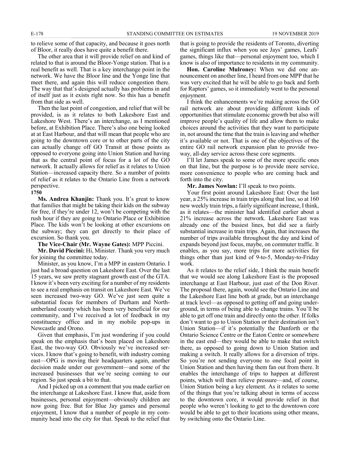to relieve some of that capacity, and because it goes north of Bloor, it really does have quite a benefit there.

The other area that it will provide relief on and kind of related to that is around the Bloor-Yonge station. That is a real benefit as well. That is a key interchange point in the network. We have the Bloor line and the Yonge line that meet there, and again this will reduce congestion there. The way that that's designed actually has problems in and of itself just as it exists right now. So this has a benefit from that side as well.

Then the last point of congestion, and relief that will be provided, is as it relates to both Lakeshore East and Lakeshore West. There's an interchange, as I mentioned before, at Exhibition Place. There's also one being looked at at East Harbour, and that will mean that people who are going to the downtown core or to other parts of the city can actually change off GO Transit at those points as opposed to everyone going into Union Station and having that as the central point of focus for a lot of the GO network. It actually allows for relief as it relates to Union Station—increased capacity there. So a number of points of relief as it relates to the Ontario Line from a network perspective.

#### **1750**

**Ms. Andrea Khanjin:** Thank you. It's great to know that families that might be taking their kids on the subway for free, if they're under 12, won't be competing with the rush hour if they are going to Ontario Place or Exhibition Place. The kids won't be looking at other excursions on the subway; they can get directly to their place of excursion. So thank you.

**The Vice-Chair (Mr. Wayne Gates):** MPP Piccini.

**Mr. David Piccini:** Hi, Minister. Thank you very much for joining the committee today.

Minister, as you know, I'm a MPP in eastern Ontario. I just had a broad question on Lakeshore East. Over the last 15 years, we saw pretty stagnant growth east of the GTA. I know it's been very exciting for a number of my residents to see a real emphasis on transit on Lakeshore East. We've seen increased two-way GO. We've just seen quite a substantial focus for members of Durham and Northumberland county which has been very beneficial for our community, and I've received a lot of feedback in my constituency office and in my mobile pop-ups in Newcastle and Orono.

Given that emphasis, I'm just wondering if you could speak on the emphasis that's been placed on Lakeshore East, the two-way GO. Obviously we've increased services. I know that's going to benefit, with industry coming east—OPG is moving their headquarters again, another decision made under our government—and some of the increased businesses that we're seeing coming to our region. So just speak a bit to that.

And I picked up on a comment that you made earlier on the interchange at Lakeshore East. I know that, aside from businesses, personal enjoyment—obviously children are now going free. But for Blue Jay games and personal enjoyment, I know that a number of people in my community head into the city for that. Speak to the relief that

that is going to provide the residents of Toronto, diverting the significant influx when you see Jays' games, Leafs' games, things like that—personal enjoyment too, which I know is also of importance to residents in my community.

**Hon. Caroline Mulroney:** When we did one announcement on another line, I heard from one MPP that he was very excited that he will be able to go back and forth for Raptors' games, so it immediately went to the personal enjoyment.

I think the enhancements we're making across the GO rail network are about providing different kinds of opportunities that stimulate economic growth but also will improve people's quality of life and allow them to make choices around the activities that they want to participate in, not around the time that the train is leaving and whether it's available or not. That is one of the objectives of the entire GO rail network expansion plan to provide twoway, all-day service across these core segments.

I'll let James speak to some of the more specific ones on that line, but the purpose is to provide more service, more convenience to people who are coming back and forth into the city.

**Mr. James Nowlan:** I'll speak to two points.

Your first point around Lakeshore East: Over the last year, a 25% increase in train trips along that line, so at 160 new weekly train trips, a fairly significant increase, I think, as it relates—the minister had identified earlier about a 21% increase across the network. Lakeshore East was already one of the busiest lines, but did see a fairly substantial increase in train trips. Again, that increases the number of trips available throughout the day and kind of expands beyond just focus, maybe, on commuter traffic. It enables, as you say, more trips for more activities for things other than just kind of 9-to-5, Monday-to-Friday work.

As it relates to the relief side, I think the main benefit that we would see along Lakeshore East is the proposed interchange at East Harbour, just east of the Don River. The proposal there, again, would see the Ontario Line and the Lakeshore East line both at grade, but an interchange at track level—as opposed to getting off and going underground, in terms of being able to change trains. You'll be able to get off one train and directly onto the other. If folks don't want to go to Union Station or their destination isn't Union Station—if it's potentially the Danforth or the Ontario Science Centre or the Eaton Centre or somewhere in the east end—they would be able to make that switch there, as opposed to going down to Union Station and making a switch. It really allows for a diversion of trips. So you're not sending everyone to one focal point in Union Station and then having them fan out from there. It enables the interchange of trips to happen at different points, which will then relieve pressure—and, of course, Union Station being a key element. As it relates to some of the things that you're talking about in terms of access to the downtown core, it would provide relief in that people who weren't looking to get to the downtown core would be able to get to their locations using other means, by switching onto the Ontario Line.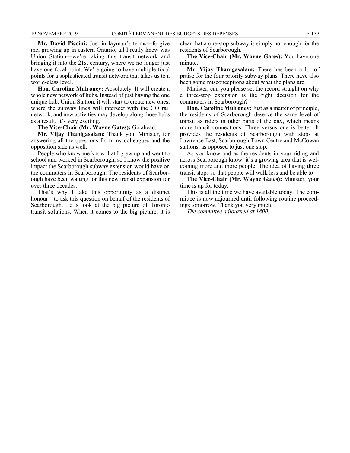**Mr. David Piccini:** Just in layman's terms—forgive me; growing up in eastern Ontario, all I really knew was Union Station—we're taking this transit network and bringing it into the 21st century, where we no longer just have one focal point. We're going to have multiple focal points for a sophisticated transit network that takes us to a world-class level.

**Hon. Caroline Mulroney:** Absolutely. It will create a whole new network of hubs. Instead of just having the one unique hub, Union Station, it will start to create new ones, where the subway lines will intersect with the GO rail network, and new activities may develop along those hubs as a result. It's very exciting.

**The Vice-Chair (Mr. Wayne Gates):** Go ahead.

**Mr. Vijay Thanigasalam:** Thank you, Minister, for answering all the questions from my colleagues and the opposition side as well.

People who know me know that I grew up and went to school and worked in Scarborough, so I know the positive impact the Scarborough subway extension would have on the commuters in Scarborough. The residents of Scarborough have been waiting for this new transit expansion for over three decades.

That's why I take this opportunity as a distinct honour—to ask this question on behalf of the residents of Scarborough. Let's look at the big picture of Toronto transit solutions. When it comes to the big picture, it is

clear that a one-stop subway is simply not enough for the residents of Scarborough.

**The Vice-Chair (Mr. Wayne Gates):** You have one minute.

**Mr. Vijay Thanigasalam:** There has been a lot of praise for the four priority subway plans. There have also been some misconceptions about what the plans are.

Minister, can you please set the record straight on why a three-stop extension is the right decision for the commuters in Scarborough?

**Hon. Caroline Mulroney:**Just as a matter of principle, the residents of Scarborough deserve the same level of transit as riders in other parts of the city, which means more transit connections. Three versus one is better. It provides the residents of Scarborough with stops at Lawrence East, Scarborough Town Centre and McCowan stations, as opposed to just one stop.

As you know and as the residents in your riding and across Scarborough know, it's a growing area that is welcoming more and more people. The idea of having three transit stops so that people will walk less and be able to—

**The Vice-Chair (Mr. Wayne Gates):** Minister, your time is up for today.

This is all the time we have available today. The committee is now adjourned until following routine proceedings tomorrow. Thank you very much.

*The committee adjourned at 1800.*